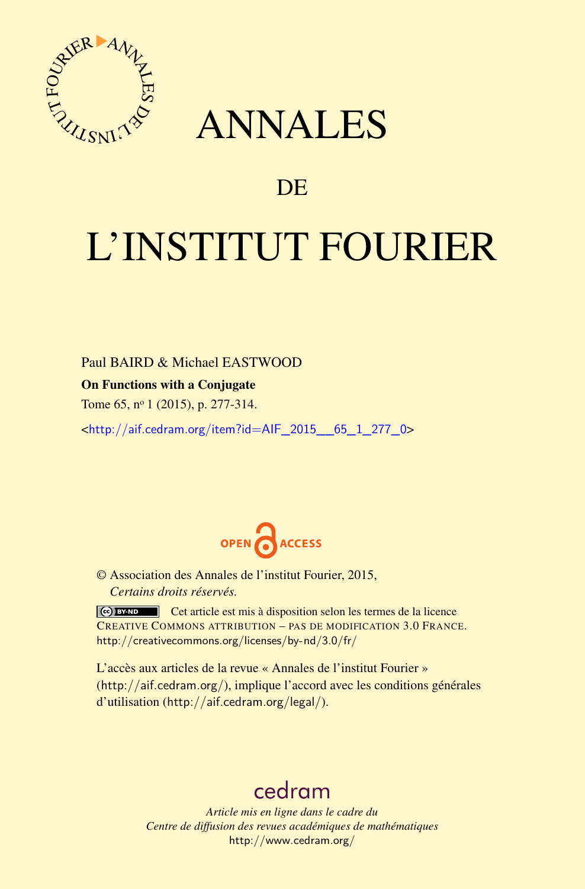

# ANNALES

# **DE**

# L'INSTITUT FOURIER

Paul BAIRD & Michael EASTWOOD

On Functions with a Conjugate

Tome 65, nº 1 (2015), p. 277-314.

<[http://aif.cedram.org/item?id=AIF\\_2015\\_\\_65\\_1\\_277\\_0](http://aif.cedram.org/item?id=AIF_2015__65_1_277_0)>



© Association des Annales de l'institut Fourier, 2015, *Certains droits réservés.*

Cet article est mis à disposition selon les termes de la licence CREATIVE COMMONS ATTRIBUTION – PAS DE MODIFICATION 3.0 FRANCE. <http://creativecommons.org/licenses/by-nd/3.0/fr/>

L'accès aux articles de la revue « Annales de l'institut Fourier » (<http://aif.cedram.org/>), implique l'accord avec les conditions générales d'utilisation (<http://aif.cedram.org/legal/>).

# [cedram](http://www.cedram.org/)

*Article mis en ligne dans le cadre du Centre de diffusion des revues académiques de mathématiques* <http://www.cedram.org/>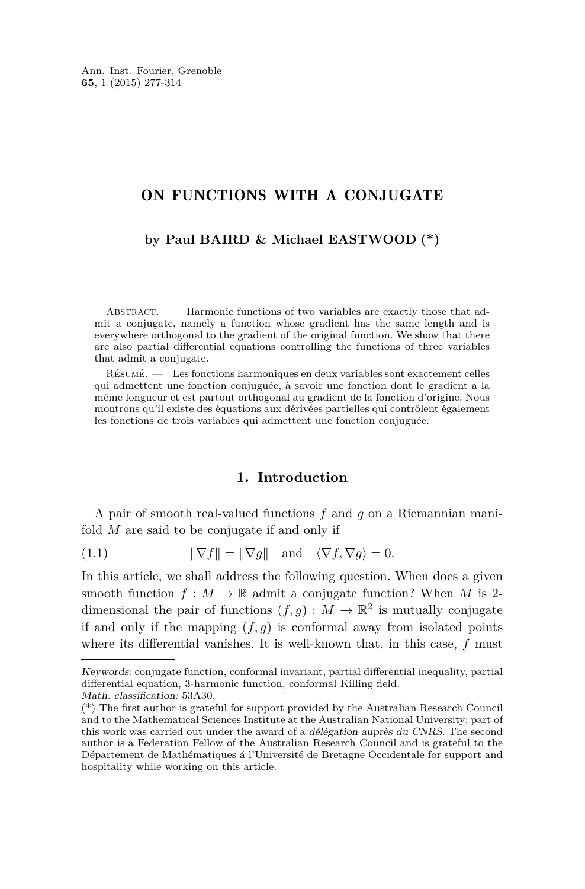# <span id="page-1-0"></span>ON FUNCTIONS WITH A CONJUGATE

# **by Paul BAIRD & Michael EASTWOOD (\*)**

ABSTRACT. — Harmonic functions of two variables are exactly those that admit a conjugate, namely a function whose gradient has the same length and is everywhere orthogonal to the gradient of the original function. We show that there are also partial differential equations controlling the functions of three variables that admit a conjugate.

Résumé. — Les fonctions harmoniques en deux variables sont exactement celles qui admettent une fonction conjuguée, à savoir une fonction dont le gradient a la même longueur et est partout orthogonal au gradient de la fonction d'origine. Nous montrons qu'il existe des équations aux dérivées partielles qui contrôlent également les fonctions de trois variables qui admettent une fonction conjuguée.

# **1. Introduction**

A pair of smooth real-valued functions *f* and *g* on a Riemannian manifold *M* are said to be conjugate if and only if

(1.1) 
$$
\|\nabla f\| = \|\nabla g\| \text{ and } \langle \nabla f, \nabla g \rangle = 0.
$$

In this article, we shall address the following question. When does a given smooth function  $f : M \to \mathbb{R}$  admit a conjugate function? When M is 2dimensional the pair of functions  $(f, g) : M \to \mathbb{R}^2$  is mutually conjugate if and only if the mapping  $(f, g)$  is conformal away from isolated points where its differential vanishes. It is well-known that, in this case, *f* must

Keywords: conjugate function, conformal invariant, partial differential inequality, partial differential equation, 3-harmonic function, conformal Killing field. Math. classification: 53A30.

<sup>(\*)</sup> The first author is grateful for support provided by the Australian Research Council and to the Mathematical Sciences Institute at the Australian National University; part of this work was carried out under the award of a délégation auprès du CNRS. The second author is a Federation Fellow of the Australian Research Council and is grateful to the Département de Mathématiques á l'Université de Bretagne Occidentale for support and hospitality while working on this article.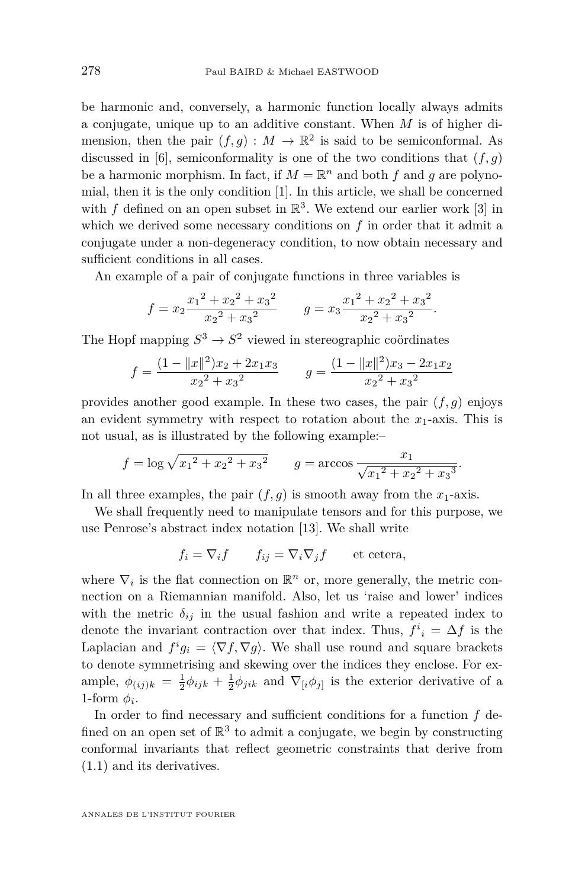be harmonic and, conversely, a harmonic function locally always admits a conjugate, unique up to an additive constant. When *M* is of higher dimension, then the pair  $(f, g) : M \to \mathbb{R}^2$  is said to be semiconformal. As discussed in [\[6\]](#page-38-0), semiconformality is one of the two conditions that  $(f, q)$ be a harmonic morphism. In fact, if  $M = \mathbb{R}^n$  and both  $f$  and  $g$  are polynomial, then it is the only condition [\[1\]](#page-37-0). In this article, we shall be concerned with  $f$  defined on an open subset in  $\mathbb{R}^3$ . We extend our earlier work [\[3\]](#page-37-0) in which we derived some necessary conditions on *f* in order that it admit a conjugate under a non-degeneracy condition, to now obtain necessary and sufficient conditions in all cases.

An example of a pair of conjugate functions in three variables is

$$
f = x_2 \frac{x_1^2 + x_2^2 + x_3^2}{x_2^2 + x_3^2}
$$
  $g = x_3 \frac{x_1^2 + x_2^2 + x_3^2}{x_2^2 + x_3^2}$ .

The Hopf mapping  $S^3 \to S^2$  viewed in stereographic coördinates

$$
f = \frac{(1 - ||x||^2)x_2 + 2x_1x_3}{x_2^2 + x_3^2} \qquad g = \frac{(1 - ||x||^2)x_3 - 2x_1x_2}{x_2^2 + x_3^2}
$$

provides another good example. In these two cases, the pair (*f, g*) enjoys an evident symmetry with respect to rotation about the  $x_1$ -axis. This is not usual, as is illustrated by the following example:–

$$
f = \log \sqrt{x_1^2 + x_2^2 + x_3^2}
$$
  $g = \arccos \frac{x_1}{\sqrt{x_1^2 + x_2^2 + x_3^2}}$ .

In all three examples, the pair  $(f, g)$  is smooth away from the  $x_1$ -axis.

We shall frequently need to manipulate tensors and for this purpose, we use Penrose's abstract index notation [\[13\]](#page-38-0). We shall write

$$
f_i = \nabla_i f \qquad f_{ij} = \nabla_i \nabla_j f \qquad \text{et cetera},
$$

where  $\nabla_i$  is the flat connection on  $\mathbb{R}^n$  or, more generally, the metric connection on a Riemannian manifold. Also, let us 'raise and lower' indices with the metric  $\delta_{ij}$  in the usual fashion and write a repeated index to denote the invariant contraction over that index. Thus,  $f^i{}_i = \Delta f$  is the Laplacian and  $f^i g_i = \langle \nabla f, \nabla g \rangle$ . We shall use round and square brackets to denote symmetrising and skewing over the indices they enclose. For example,  $\phi_{(ij)k} = \frac{1}{2}\phi_{ijk} + \frac{1}{2}\phi_{jik}$  and  $\nabla_{[i}\phi_{j]}$  is the exterior derivative of a 1-form  $\phi_i$ .

In order to find necessary and sufficient conditions for a function *f* defined on an open set of  $\mathbb{R}^3$  to admit a conjugate, we begin by constructing conformal invariants that reflect geometric constraints that derive from [\(1.1\)](#page-1-0) and its derivatives.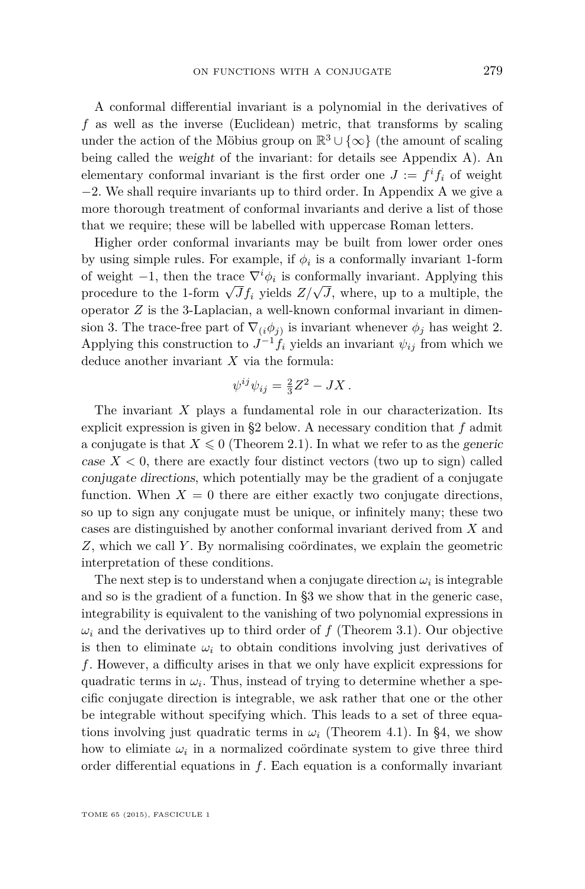A conformal differential invariant is a polynomial in the derivatives of *f* as well as the inverse (Euclidean) metric, that transforms by scaling under the action of the Möbius group on  $\mathbb{R}^3 \cup \{\infty\}$  (the amount of scaling being called the weight of the invariant: for details see Appendix [A\)](#page-24-0). An elementary conformal invariant is the first order one  $J := f^i f_i$  of weight −2. We shall require invariants up to third order. In Appendix [A](#page-24-0) we give a more thorough treatment of conformal invariants and derive a list of those that we require; these will be labelled with uppercase Roman letters.

Higher order conformal invariants may be built from lower order ones by using simple rules. For example, if  $\phi_i$  is a conformally invariant 1-form of weight  $-1$ , then the trace  $\nabla^i \phi_i$  is conformally invariant. Applying this procedure to the 1-form  $\sqrt{J}f_i$  yields  $Z/\sqrt{J}$ , where, up to a multiple, the operator *Z* is the 3-Laplacian, a well-known conformal invariant in dimension 3. The trace-free part of  $\nabla_i(\phi_j)$  is invariant whenever  $\phi_j$  has weight 2. Applying this construction to  $J^{-1}f_i$  yields an invariant  $\psi_{ij}$  from which we deduce another invariant *X* via the formula:

$$
\psi^{ij}\psi_{ij} = \frac{2}{3}Z^2 - JX.
$$

The invariant *X* plays a fundamental role in our characterization. Its explicit expression is given in [§2](#page-4-0) below. A necessary condition that *f* admit a conjugate is that  $X \leq 0$  (Theorem [2.1\)](#page-4-0). In what we refer to as the *generic* case  $X < 0$ , there are exactly four distinct vectors (two up to sign) called conjugate directions, which potentially may be the gradient of a conjugate function. When  $X = 0$  there are either exactly two conjugate directions, so up to sign any conjugate must be unique, or infinitely many; these two cases are distinguished by another conformal invariant derived from *X* and *Z*, which we call *Y* . By normalising coördinates, we explain the geometric interpretation of these conditions.

The next step is to understand when a conjugate direction  $\omega_i$  is integrable and so is the gradient of a function. In [§3](#page-7-0) we show that in the generic case, integrability is equivalent to the vanishing of two polynomial expressions in  $\omega_i$  and the derivatives up to third order of *f* (Theorem [3.1\)](#page-8-0). Our objective is then to eliminate  $\omega_i$  to obtain conditions involving just derivatives of *f*. However, a difficulty arises in that we only have explicit expressions for quadratic terms in  $\omega_i$ . Thus, instead of trying to determine whether a specific conjugate direction is integrable, we ask rather that one or the other be integrable without specifying which. This leads to a set of three equations involving just quadratic terms in  $\omega_i$  (Theorem [4.1\)](#page-10-0). In [§4,](#page-9-0) we show how to elimiate  $\omega_i$  in a normalized coördinate system to give three third order differential equations in *f*. Each equation is a conformally invariant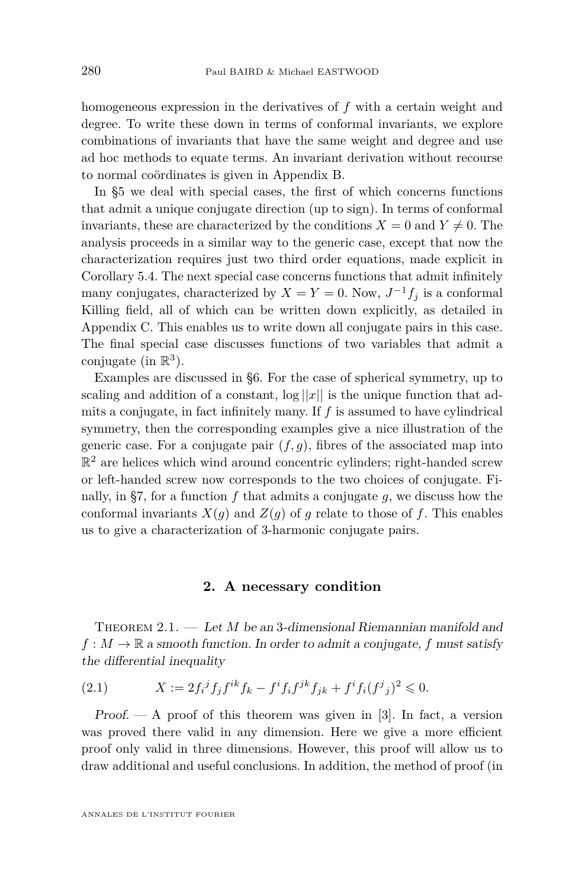<span id="page-4-0"></span>homogeneous expression in the derivatives of *f* with a certain weight and degree. To write these down in terms of conformal invariants, we explore combinations of invariants that have the same weight and degree and use ad hoc methods to equate terms. An invariant derivation without recourse to normal coördinates is given in Appendix [B.](#page-29-0)

In [§5](#page-13-0) we deal with special cases, the first of which concerns functions that admit a unique conjugate direction (up to sign). In terms of conformal invariants, these are characterized by the conditions  $X = 0$  and  $Y \neq 0$ . The analysis proceeds in a similar way to the generic case, except that now the characterization requires just two third order equations, made explicit in Corollary [5.4.](#page-16-0) The next special case concerns functions that admit infinitely many conjugates, characterized by  $X = Y = 0$ . Now,  $J^{-1}f_j$  is a conformal Killing field, all of which can be written down explicitly, as detailed in Appendix [C.](#page-32-0) This enables us to write down all conjugate pairs in this case. The final special case discusses functions of two variables that admit a conjugate (in  $\mathbb{R}^3$ ).

Examples are discussed in [§6.](#page-19-0) For the case of spherical symmetry, up to scaling and addition of a constant,  $\log ||x||$  is the unique function that admits a conjugate, in fact infinitely many. If *f* is assumed to have cylindrical symmetry, then the corresponding examples give a nice illustration of the generic case. For a conjugate pair  $(f, g)$ , fibres of the associated map into  $\mathbb{R}^2$  are helices which wind around concentric cylinders; right-handed screw or left-handed screw now corresponds to the two choices of conjugate. Fi-nally, in [§7,](#page-21-0) for a function  $f$  that admits a conjugate  $g$ , we discuss how the conformal invariants  $X(g)$  and  $Z(g)$  of *g* relate to those of *f*. This enables us to give a characterization of 3-harmonic conjugate pairs.

# **2. A necessary condition**

THEOREM 2.1. — Let *M* be an 3-dimensional Riemannian manifold and  $f: M \to \mathbb{R}$  a smooth function. In order to admit a conjugate, f must satisfy the differential inequality

(2.1) 
$$
X := 2f_i^j f_j f^{ik} f_k - f^i f_i f^{jk} f_{jk} + f^i f_i (f^j{}_j)^2 \leq 0.
$$

Proof.  $- A$  proof of this theorem was given in [\[3\]](#page-37-0). In fact, a version was proved there valid in any dimension. Here we give a more efficient proof only valid in three dimensions. However, this proof will allow us to draw additional and useful conclusions. In addition, the method of proof (in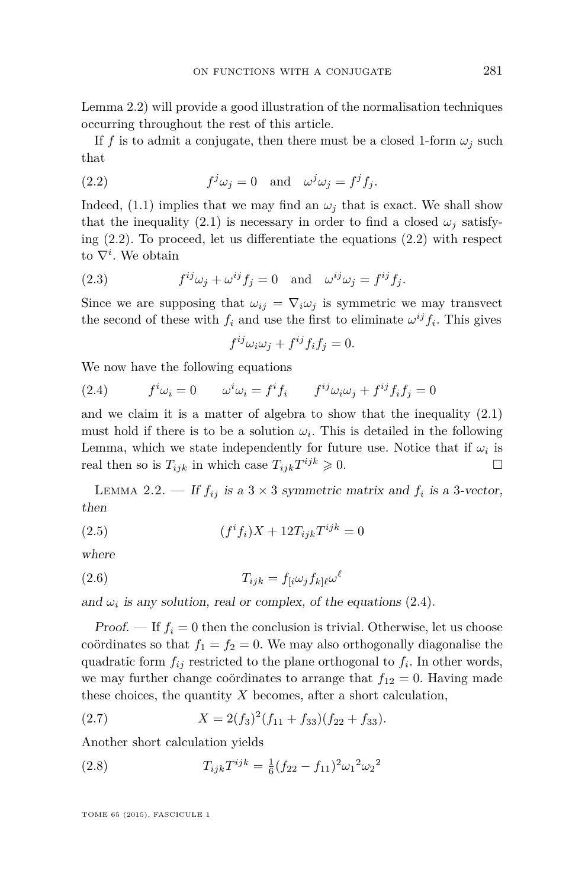<span id="page-5-0"></span>Lemma 2.2) will provide a good illustration of the normalisation techniques occurring throughout the rest of this article.

If f is to admit a conjugate, then there must be a closed 1-form  $\omega_i$  such that

(2.2) 
$$
f^j \omega_j = 0 \text{ and } \omega^j \omega_j = f^j f_j.
$$

Indeed, [\(1.1\)](#page-1-0) implies that we may find an  $\omega_j$  that is exact. We shall show that the inequality [\(2.1\)](#page-4-0) is necessary in order to find a closed  $\omega_i$  satisfying  $(2.2)$ . To proceed, let us differentiate the equations  $(2.2)$  with respect to  $\nabla^i$ . We obtain

(2.3) 
$$
f^{ij}\omega_j + \omega^{ij}f_j = 0 \text{ and } \omega^{ij}\omega_j = f^{ij}f_j.
$$

Since we are supposing that  $\omega_{ij} = \nabla_i \omega_j$  is symmetric we may transvect the second of these with  $f_i$  and use the first to eliminate  $\omega^{ij} f_i$ . This gives

$$
f^{ij}\omega_i\omega_j + f^{ij}f_if_j = 0.
$$

We now have the following equations

(2.4) 
$$
f^i \omega_i = 0 \qquad \omega^i \omega_i = f^i f_i \qquad f^{ij} \omega_i \omega_j + f^{ij} f_i f_j = 0
$$

and we claim it is a matter of algebra to show that the inequality  $(2.1)$ must hold if there is to be a solution  $\omega_i$ . This is detailed in the following Lemma, which we state independently for future use. Notice that if  $\omega_i$  is real then so is  $T_{ijk}$  in which case  $T_{ijk}T^{ijk} \geq 0$ .

LEMMA 2.2. — If  $f_{ij}$  is a 3 × 3 symmetric matrix and  $f_i$  is a 3-vector, then

(2.5) 
$$
(f^{i}f_{i})X + 12T_{ijk}T^{ijk} = 0
$$

where

(2.6) 
$$
T_{ijk} = f_{[i}\omega_j f_{k]l}\omega^l
$$

and  $\omega_i$  is any solution, real or complex, of the equations  $(2.4)$ .

Proof.  $\mathbf{F} = \mathbf{F} \cdot \mathbf{F} = \mathbf{F} \cdot \mathbf{F} = \mathbf{F} \cdot \mathbf{F}$  is trivial. Otherwise, let us choose coördinates so that  $f_1 = f_2 = 0$ . We may also orthogonally diagonalise the quadratic form *fij* restricted to the plane orthogonal to *f<sup>i</sup>* . In other words, we may further change coördinates to arrange that  $f_{12} = 0$ . Having made these choices, the quantity *X* becomes, after a short calculation,

(2.7) 
$$
X = 2(f_3)^2(f_{11} + f_{33})(f_{22} + f_{33}).
$$

Another short calculation yields

(2.8) 
$$
T_{ijk}T^{ijk} = \frac{1}{6}(f_{22} - f_{11})^2 \omega_1^2 \omega_2^2
$$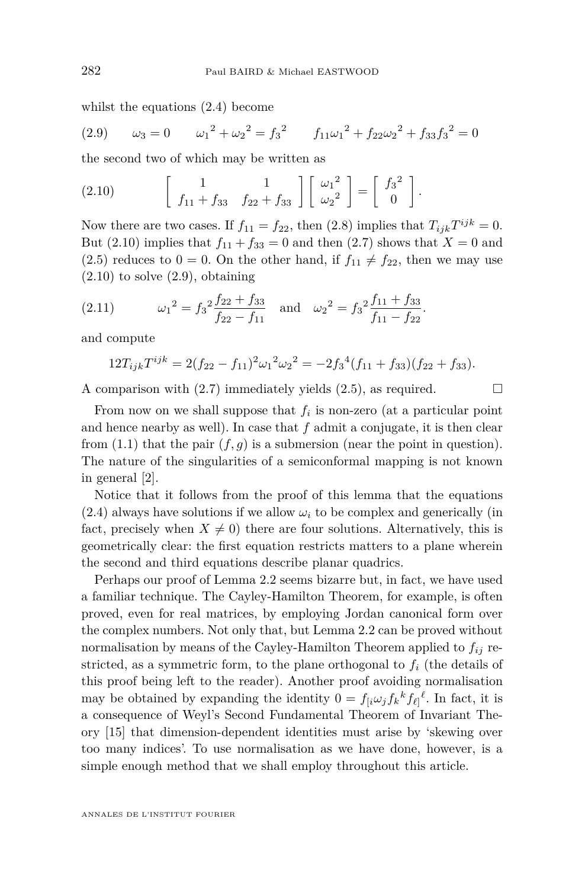<span id="page-6-0"></span>whilst the equations [\(2.4\)](#page-5-0) become

(2.9) 
$$
\omega_3 = 0
$$
  $\omega_1^2 + \omega_2^2 = f_3^2$   $f_{11}\omega_1^2 + f_{22}\omega_2^2 + f_{33}f_3^2 = 0$ 

the second two of which may be written as

(2.10) 
$$
\begin{bmatrix} 1 & 1 \ f_{11} + f_{33} & f_{22} + f_{33} \end{bmatrix} \begin{bmatrix} \omega_1^2 \\ \omega_2^2 \end{bmatrix} = \begin{bmatrix} f_3^2 \\ 0 \end{bmatrix}.
$$

Now there are two cases. If  $f_{11} = f_{22}$ , then [\(2.8\)](#page-5-0) implies that  $T_{ijk}T^{ijk} = 0$ . But (2.10) implies that  $f_{11} + f_{33} = 0$  and then [\(2.7\)](#page-5-0) shows that  $X = 0$  and [\(2.5\)](#page-5-0) reduces to  $0 = 0$ . On the other hand, if  $f_{11} \neq f_{22}$ , then we may use  $(2.10)$  to solve  $(2.9)$ , obtaining

(2.11) 
$$
\omega_1^2 = f_3^2 \frac{f_{22} + f_{33}}{f_{22} - f_{11}} \text{ and } \omega_2^2 = f_3^2 \frac{f_{11} + f_{33}}{f_{11} - f_{22}}.
$$

and compute

$$
12T_{ijk}T^{ijk} = 2(f_{22} - f_{11})^2 \omega_1^2 \omega_2^2 = -2f_3^4(f_{11} + f_{33})(f_{22} + f_{33}).
$$

A comparison with  $(2.7)$  immediately yields  $(2.5)$ , as required.

From now on we shall suppose that  $f_i$  is non-zero (at a particular point and hence nearby as well). In case that *f* admit a conjugate, it is then clear from  $(1.1)$  that the pair  $(f, g)$  is a submersion (near the point in question). The nature of the singularities of a semiconformal mapping is not known in general [\[2\]](#page-37-0).

Notice that it follows from the proof of this lemma that the equations  $(2.4)$  always have solutions if we allow  $\omega_i$  to be complex and generically (in fact, precisely when  $X \neq 0$ ) there are four solutions. Alternatively, this is geometrically clear: the first equation restricts matters to a plane wherein the second and third equations describe planar quadrics.

Perhaps our proof of Lemma [2.2](#page-5-0) seems bizarre but, in fact, we have used a familiar technique. The Cayley-Hamilton Theorem, for example, is often proved, even for real matrices, by employing Jordan canonical form over the complex numbers. Not only that, but Lemma [2.2](#page-5-0) can be proved without normalisation by means of the Cayley-Hamilton Theorem applied to *fij* restricted, as a symmetric form, to the plane orthogonal to *f<sup>i</sup>* (the details of this proof being left to the reader). Another proof avoiding normalisation may be obtained by expanding the identity  $0 = f_{[i}\omega_j f_k{}^k f_{\ell]}{}^{\ell}$ . In fact, it is a consequence of Weyl's Second Fundamental Theorem of Invariant Theory [\[15\]](#page-38-0) that dimension-dependent identities must arise by 'skewing over too many indices'. To use normalisation as we have done, however, is a simple enough method that we shall employ throughout this article.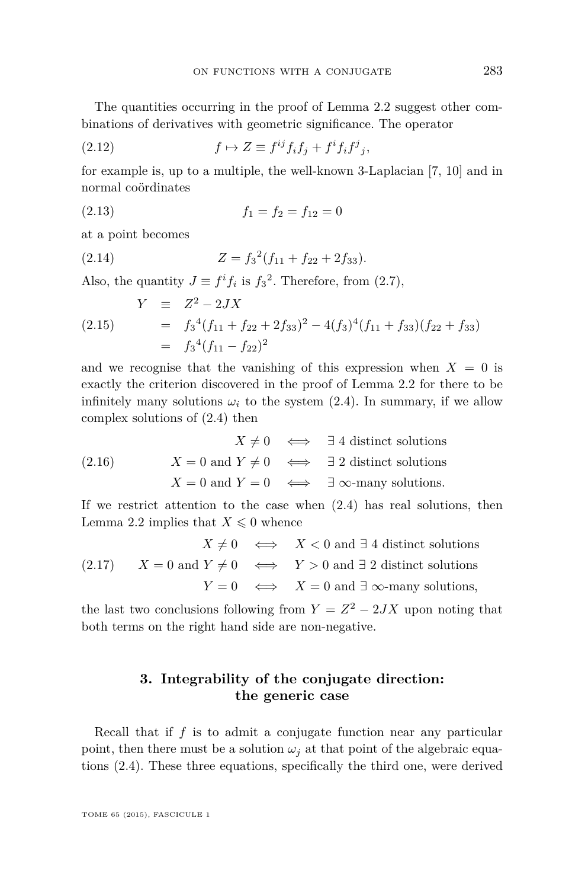<span id="page-7-0"></span>The quantities occurring in the proof of Lemma [2.2](#page-5-0) suggest other combinations of derivatives with geometric significance. The operator

(2.12) 
$$
f \mapsto Z \equiv f^{ij} f_i f_j + f^i f_i f^j_j,
$$

for example is, up to a multiple, the well-known 3-Laplacian [\[7,](#page-38-0) [10\]](#page-38-0) and in normal coördinates

$$
(2.13) \t\t f_1 = f_2 = f_{12} = 0
$$

at a point becomes

(2.14) 
$$
Z = f_3^2(f_{11} + f_{22} + 2f_{33}).
$$

Also, the quantity  $J \equiv f^{i} f_{i}$  is  $f_{3}^{2}$ . Therefore, from [\(2.7\)](#page-5-0),

$$
Y \equiv Z^2 - 2JX
$$
  
(2.15) 
$$
= f_3^4(f_{11} + f_{22} + 2f_{33})^2 - 4(f_3)^4(f_{11} + f_{33})(f_{22} + f_{33})
$$

$$
= f_3^4(f_{11} - f_{22})^2
$$

and we recognise that the vanishing of this expression when  $X = 0$  is exactly the criterion discovered in the proof of Lemma [2.2](#page-5-0) for there to be infinitely many solutions  $\omega_i$  to the system [\(2.4\)](#page-5-0). In summary, if we allow complex solutions of [\(2.4\)](#page-5-0) then

$$
X \neq 0 \iff \exists 4 \text{ distinct solutions}
$$
  
(2.16) 
$$
X = 0 \text{ and } Y \neq 0 \iff \exists 2 \text{ distinct solutions}
$$

$$
X = 0 \text{ and } Y = 0 \iff \exists \infty\text{-many solutions.}
$$

If we restrict attention to the case when [\(2.4\)](#page-5-0) has real solutions, then Lemma [2.2](#page-5-0) implies that  $X \leq 0$  whence

$$
X \neq 0 \iff X < 0 \text{ and } \exists 4 \text{ distinct solutions}
$$
  
(2.17) 
$$
X = 0 \text{ and } Y \neq 0 \iff Y > 0 \text{ and } \exists 2 \text{ distinct solutions}
$$

$$
Y = 0 \iff X = 0 \text{ and } \exists \infty\text{-many solutions},
$$

the last two conclusions following from  $Y = Z^2 - 2JX$  upon noting that both terms on the right hand side are non-negative.

# **3. Integrability of the conjugate direction: the generic case**

Recall that if *f* is to admit a conjugate function near any particular point, then there must be a solution  $\omega_i$  at that point of the algebraic equations [\(2.4\)](#page-5-0). These three equations, specifically the third one, were derived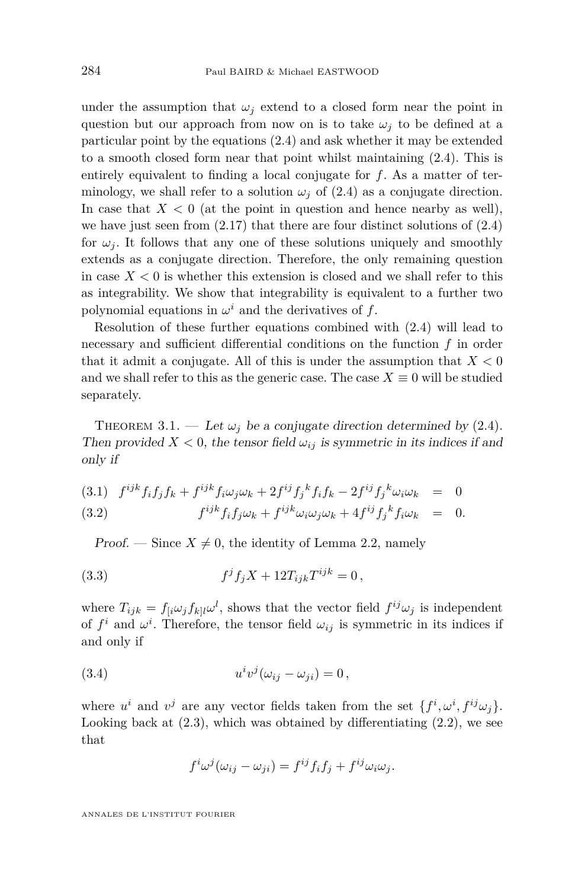<span id="page-8-0"></span>under the assumption that  $\omega_j$  extend to a closed form near the point in question but our approach from now on is to take  $\omega_i$  to be defined at a particular point by the equations [\(2.4\)](#page-5-0) and ask whether it may be extended to a smooth closed form near that point whilst maintaining [\(2.4\)](#page-5-0). This is entirely equivalent to finding a local conjugate for *f*. As a matter of terminology, we shall refer to a solution  $\omega_j$  of [\(2.4\)](#page-5-0) as a conjugate direction. In case that  $X < 0$  (at the point in question and hence nearby as well), we have just seen from  $(2.17)$  that there are four distinct solutions of  $(2.4)$ for  $\omega_i$ . It follows that any one of these solutions uniquely and smoothly extends as a conjugate direction. Therefore, the only remaining question in case  $X < 0$  is whether this extension is closed and we shall refer to this as integrability. We show that integrability is equivalent to a further two polynomial equations in  $\omega^i$  and the derivatives of  $f$ .

Resolution of these further equations combined with [\(2.4\)](#page-5-0) will lead to necessary and sufficient differential conditions on the function *f* in order that it admit a conjugate. All of this is under the assumption that  $X < 0$ and we shall refer to this as the generic case. The case  $X \equiv 0$  will be studied separately.

THEOREM 3.1. — Let  $\omega_i$  be a conjugate direction determined by [\(2.4\)](#page-5-0). Then provided  $X < 0$ , the tensor field  $\omega_{ij}$  is symmetric in its indices if and only if

(3.1) 
$$
f^{ijk} f_i f_j f_k + f^{ijk} f_i \omega_j \omega_k + 2 f^{ij} f_j^k f_i f_k - 2 f^{ij} f_j^k \omega_i \omega_k = 0
$$
  
(3.2) 
$$
f^{ijk} f_i f_j \omega_k + f^{ijk} \omega_i \omega_j \omega_k + 4 f^{ij} f_j^k f_i \omega_k = 0.
$$

Proof. — Since  $X \neq 0$ , the identity of Lemma [2.2,](#page-5-0) namely

(3.3) 
$$
f^{j} f_{j} X + 12 T_{ijk} T^{ijk} = 0,
$$

where  $T_{ijk} = f_{[i}\omega_j f_{k]l}\omega^l$ , shows that the vector field  $f^{ij}\omega_j$  is independent of  $f^i$  and  $\omega^i$ . Therefore, the tensor field  $\omega_{ij}$  is symmetric in its indices if and only if

(3.4) 
$$
u^i v^j (\omega_{ij} - \omega_{ji}) = 0,
$$

where  $u^i$  and  $v^j$  are any vector fields taken from the set  $\{f^i, \omega^i, f^{ij}\omega_j\}$ . Looking back at  $(2.3)$ , which was obtained by differentiating  $(2.2)$ , we see that

$$
f^i\omega^j(\omega_{ij}-\omega_{ji})=f^{ij}f_if_j+f^{ij}\omega_i\omega_j.
$$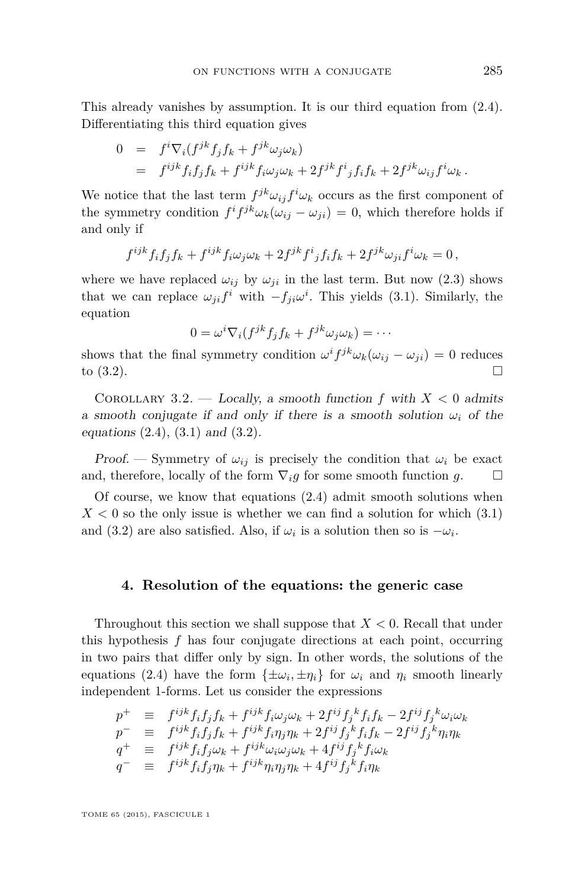<span id="page-9-0"></span>This already vanishes by assumption. It is our third equation from [\(2.4\)](#page-5-0). Differentiating this third equation gives

$$
0 = f^i \nabla_i (f^{jk} f_j f_k + f^{jk} \omega_j \omega_k)
$$
  
= 
$$
f^{ijk} f_i f_j f_k + f^{ijk} f_i \omega_j \omega_k + 2 f^{jk} f^i{}_j f_i f_k + 2 f^{jk} \omega_{ij} f^i \omega_k.
$$

We notice that the last term  $f^{jk}\omega_{ij}f^{i}\omega_{k}$  occurs as the first component of the symmetry condition  $f^i f^{jk} \omega_k(\omega_{ij} - \omega_{ji}) = 0$ , which therefore holds if and only if

$$
f^{ijk}f_if_jf_k + f^{ijk}f_i\omega_j\omega_k + 2f^{jk}f^i_jf_if_k + 2f^{jk}\omega_{ji}f^i\omega_k = 0,
$$

where we have replaced  $\omega_{ij}$  by  $\omega_{ji}$  in the last term. But now [\(2.3\)](#page-5-0) shows that we can replace  $\omega_{ji} f^i$  with  $-f_{ji} \omega^i$ . This yields [\(3.1\)](#page-8-0). Similarly, the equation

$$
0 = \omega^i \nabla_i (f^{jk} f_j f_k + f^{jk} \omega_j \omega_k) = \cdots
$$

shows that the final symmetry condition  $\omega^{i} f^{jk} \omega_{k}(\omega_{ij} - \omega_{ji}) = 0$  reduces to  $(3.2)$ .

COROLLARY 3.2. — Locally, a smooth function  $f$  with  $X < 0$  admits a smooth conjugate if and only if there is a smooth solution  $\omega_i$  of the equations  $(2.4)$ ,  $(3.1)$  and  $(3.2)$ .

Proof. — Symmetry of  $\omega_{ij}$  is precisely the condition that  $\omega_i$  be exact and, therefore, locally of the form  $\nabla_i g$  for some smooth function  $g$ .  $\square$ 

Of course, we know that equations [\(2.4\)](#page-5-0) admit smooth solutions when  $X < 0$  so the only issue is whether we can find a solution for which  $(3.1)$ and [\(3.2\)](#page-8-0) are also satisfied. Also, if  $\omega_i$  is a solution then so is  $-\omega_i$ .

# **4. Resolution of the equations: the generic case**

Throughout this section we shall suppose that *X <* 0. Recall that under this hypothesis *f* has four conjugate directions at each point, occurring in two pairs that differ only by sign. In other words, the solutions of the equations [\(2.4\)](#page-5-0) have the form  $\{\pm \omega_i, \pm \eta_i\}$  for  $\omega_i$  and  $\eta_i$  smooth linearly independent 1-forms. Let us consider the expressions

$$
p^+ \equiv f^{ijk} f_i f_j f_k + f^{ijk} f_i \omega_j \omega_k + 2 f^{ij} f_j^k f_i f_k - 2 f^{ij} f_j^k \omega_i \omega_k p^- \equiv f^{ijk} f_i f_j f_k + f^{ijk} f_i \eta_j \eta_k + 2 f^{ij} f_j^k f_i f_k - 2 f^{ij} f_j^k \eta_i \eta_k q^+ \equiv f^{ijk} f_i f_j \omega_k + f^{ijk} \omega_i \omega_j \omega_k + 4 f^{ij} f_j^k f_i \omega_k q^- \equiv f^{ijk} f_i f_j \eta_k + f^{ijk} \eta_i \eta_j \eta_k + 4 f^{ij} f_j^k f_i \eta_k
$$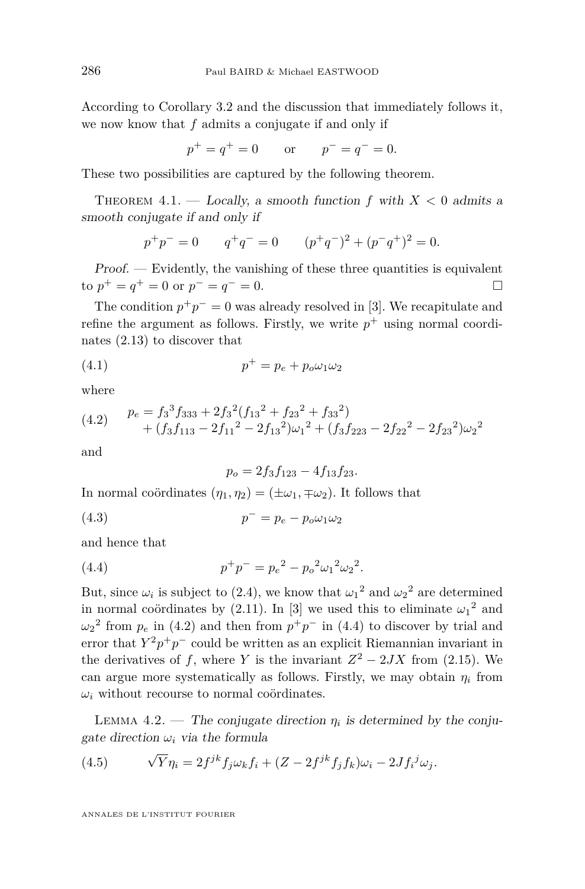<span id="page-10-0"></span>According to Corollary [3.2](#page-9-0) and the discussion that immediately follows it, we now know that *f* admits a conjugate if and only if

$$
p^+ = q^+ = 0
$$
 or  $p^- = q^- = 0.$ 

These two possibilities are captured by the following theorem.

THEOREM  $4.1.$  — Locally, a smooth function  $f$  with  $X < 0$  admits a smooth conjugate if and only if

$$
p^+p^- = 0 \t q^+q^- = 0 \t (p^+q^-)^2 + (p^-q^+)^2 = 0.
$$

Proof. — Evidently, the vanishing of these three quantities is equivalent to  $p$ <sup>+</sup> =  $q$ <sup>+</sup> = 0 or  $p$ <sup>−</sup> =  $q$ <sup>−</sup> = 0.

The condition  $p^+p^- = 0$  was already resolved in [\[3\]](#page-37-0). We recapitulate and refine the argument as follows. Firstly, we write  $p^+$  using normal coordinates [\(2.13\)](#page-7-0) to discover that

$$
(4.1) \t\t\t\t\t p^+ = p_e + p_o \omega_1 \omega_2
$$

where

$$
(4.2) \quad p_e = f_3^3 f_{333} + 2f_3^2 (f_{13}^2 + f_{23}^2 + f_{33}^2) + (f_3 f_{113} - 2f_{11}^2 - 2f_{13}^2) \omega_1^2 + (f_3 f_{223} - 2f_{22}^2 - 2f_{23}^2) \omega_2^2
$$

and

$$
p_o = 2f_3f_{123} - 4f_{13}f_{23}.
$$

In normal coördinates  $(\eta_1, \eta_2) = (\pm \omega_1, \mp \omega_2)$ . It follows that

(4.3) *p* <sup>−</sup> = *p<sup>e</sup>* − *poω*1*ω*<sup>2</sup>

and hence that

(4.4) 
$$
p^+p^- = p_e^2 - p_o^2 \omega_1^2 \omega_2^2.
$$

But, since  $\omega_i$  is subject to [\(2.4\)](#page-5-0), we know that  $\omega_1^2$  and  $\omega_2^2$  are determined in normal coördinates by  $(2.11)$ . In [\[3\]](#page-37-0) we used this to eliminate  $\omega_1^2$  and  $\omega_2^2$  from  $p_e$  in (4.2) and then from  $p^+p^-$  in (4.4) to discover by trial and error that  $Y^2p^+p^-$  could be written as an explicit Riemannian invariant in the derivatives of *f*, where *Y* is the invariant  $Z^2 - 2JX$  from [\(2.15\)](#page-7-0). We can argue more systematically as follows. Firstly, we may obtain  $\eta_i$  from  $\omega_i$  without recourse to normal coördinates.

LEMMA 4.2. — The conjugate direction  $\eta_i$  is determined by the conjugate direction  $\omega_i$  via the formula

(4.5) 
$$
\sqrt{Y}\eta_i = 2f^{jk}f_j\omega_k f_i + (Z - 2f^{jk}f_j f_k)\omega_i - 2Jf_i^j\omega_j.
$$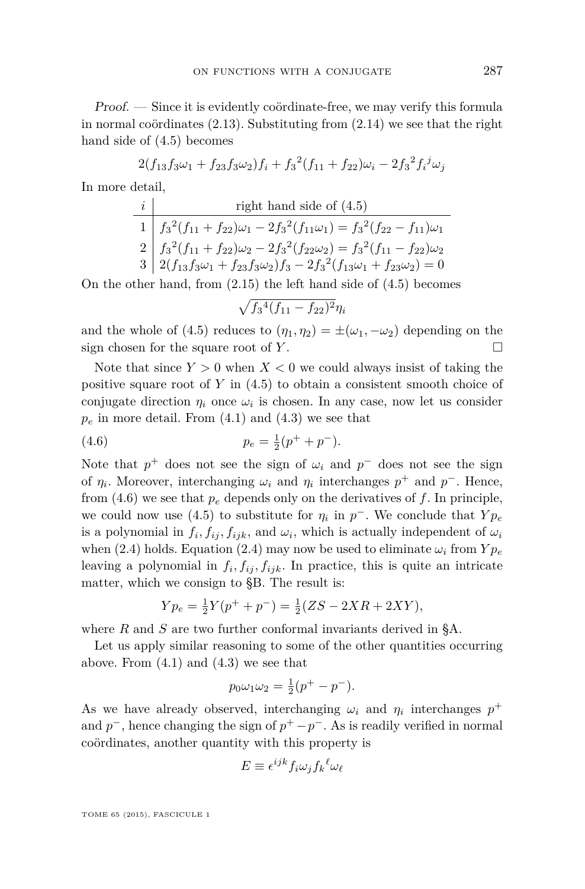Proof. — Since it is evidently coördinate-free, we may verify this formula in normal coördinates [\(2.13\)](#page-7-0). Substituting from [\(2.14\)](#page-7-0) we see that the right hand side of [\(4.5\)](#page-10-0) becomes

$$
2(f_{13}f_3\omega_1 + f_{23}f_3\omega_2)f_i + f_3^2(f_{11} + f_{22})\omega_i - 2f_3^2f_i^j\omega_j
$$

In more detail,

$$
\begin{array}{ll}\ni & \text{right hand side of (4.5)} \\
1 & \boxed{f_3^2(f_{11} + f_{22})\omega_1 - 2f_3^2(f_{11}\omega_1) = f_3^2(f_{22} - f_{11})\omega_1} \\
2 & \boxed{f_3^2(f_{11} + f_{22})\omega_2 - 2f_3^2(f_{22}\omega_2) = f_3^2(f_{11} - f_{22})\omega_2} \\
3 & \boxed{2(f_{13}f_3\omega_1 + f_{23}f_3\omega_2)f_3 - 2f_3^2(f_{13}\omega_1 + f_{23}\omega_2) = 0}\n\end{array}
$$

On the other hand, from [\(2.15\)](#page-7-0) the left hand side of [\(4.5\)](#page-10-0) becomes

$$
\sqrt{f_3^4(f_{11}-f_{22})^2}\eta_i
$$

and the whole of [\(4.5\)](#page-10-0) reduces to  $(\eta_1, \eta_2) = \pm(\omega_1, -\omega_2)$  depending on the sign chosen for the square root of *Y* .

Note that since  $Y > 0$  when  $X < 0$  we could always insist of taking the positive square root of *Y* in [\(4.5\)](#page-10-0) to obtain a consistent smooth choice of conjugate direction  $\eta_i$  once  $\omega_i$  is chosen. In any case, now let us consider  $p_e$  in more detail. From  $(4.1)$  and  $(4.3)$  we see that

(4.6) 
$$
p_e = \frac{1}{2}(p^+ + p^-).
$$

Note that  $p^+$  does not see the sign of  $\omega_i$  and  $p^-$  does not see the sign of  $\eta_i$ . Moreover, interchanging  $\omega_i$  and  $\eta_i$  interchanges  $p^+$  and  $p^-$ . Hence, from  $(4.6)$  we see that  $p_e$  depends only on the derivatives of  $f$ . In principle, we could now use [\(4.5\)](#page-10-0) to substitute for  $\eta_i$  in  $p^-$ . We conclude that  $Y p_e$ is a polynomial in  $f_i, f_{ij}, f_{ijk}$ , and  $\omega_i$ , which is actually independent of  $\omega_i$ when [\(2.4\)](#page-5-0) holds. Equation (2.4) may now be used to eliminate  $\omega_i$  from  $Y p_e$ leaving a polynomial in  $f_i, f_{ij}, f_{ijk}$ . In practice, this is quite an intricate matter, which we consign to [§B.](#page-29-0) The result is:

$$
Yp_e = \frac{1}{2}Y(p^+ + p^-) = \frac{1}{2}(ZS - 2XR + 2XY),
$$

where *R* and *S* are two further conformal invariants derived in [§A.](#page-24-0)

Let us apply similar reasoning to some of the other quantities occurring above. From  $(4.1)$  and  $(4.3)$  we see that

$$
p_0 \omega_1 \omega_2 = \frac{1}{2} (p^+ - p^-).
$$

As we have already observed, interchanging  $\omega_i$  and  $\eta_i$  interchanges  $p^+$ and  $p^-$ , hence changing the sign of  $p^+ - p^-$ . As is readily verified in normal coördinates, another quantity with this property is

$$
E \equiv \epsilon^{ijk} f_i \omega_j f_k{}^{\ell} \omega_{\ell}
$$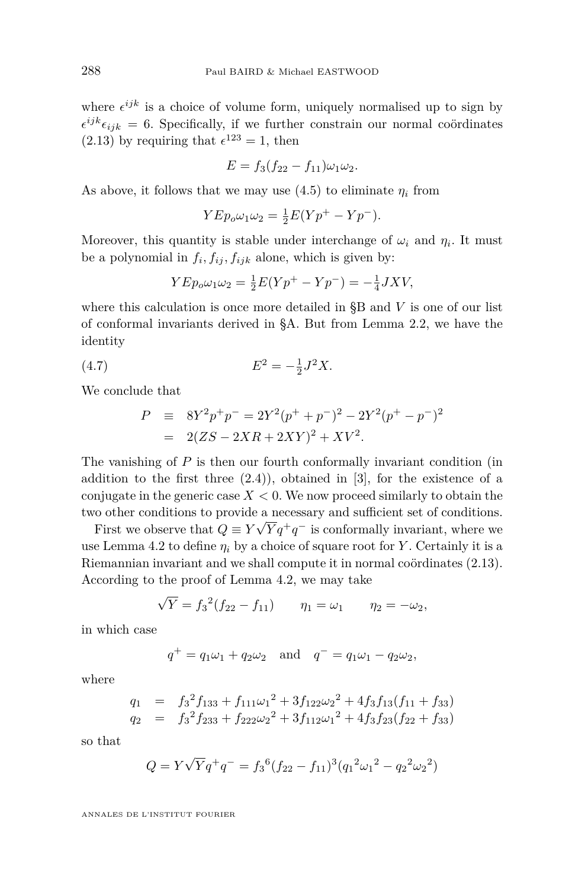<span id="page-12-0"></span>where  $\epsilon^{ijk}$  is a choice of volume form, uniquely normalised up to sign by  $\epsilon^{ijk}\epsilon_{ijk} = 6$ . Specifically, if we further constrain our normal coördinates  $(2.13)$  by requiring that  $\epsilon^{123} = 1$ , then

$$
E = f_3(f_{22} - f_{11})\omega_1\omega_2.
$$

As above, it follows that we may use  $(4.5)$  to eliminate  $\eta_i$  from

$$
Y E p_o \omega_1 \omega_2 = \frac{1}{2} E(Y p^+ - Y p^-).
$$

Moreover, this quantity is stable under interchange of  $\omega_i$  and  $\eta_i$ . It must be a polynomial in  $f_i, f_{ij}, f_{ijk}$  alone, which is given by:

$$
Y E p_o \omega_1 \omega_2 = \frac{1}{2} E(Y p^+ - Y p^-) = -\frac{1}{4} J X V,
$$

where this calculation is once more detailed in [§B](#page-29-0) and *V* is one of our list of conformal invariants derived in [§A.](#page-24-0) But from Lemma [2.2,](#page-5-0) we have the identity

(4.7) 
$$
E^2 = -\frac{1}{2}J^2X.
$$

We conclude that

$$
P \equiv 8Y^2p^+p^- = 2Y^2(p^+ + p^-)^2 - 2Y^2(p^+ - p^-)^2
$$
  
= 2(ZS - 2XR + 2XY)^2 + XV^2.

The vanishing of *P* is then our fourth conformally invariant condition (in addition to the first three  $(2.4)$ , obtained in [\[3\]](#page-37-0), for the existence of a conjugate in the generic case  $X < 0$ . We now proceed similarly to obtain the two other conditions to provide a necessary and sufficient set of conditions.

First we observe that  $Q \equiv Y\sqrt{Y}q^+q^-$  is conformally invariant, where we use Lemma [4.2](#page-10-0) to define  $\eta_i$  by a choice of square root for *Y*. Certainly it is a Riemannian invariant and we shall compute it in normal coördinates [\(2.13\)](#page-7-0). According to the proof of Lemma [4.2,](#page-10-0) we may take

$$
\sqrt{Y} = f_3^2(f_{22} - f_{11})
$$
  $\eta_1 = \omega_1$   $\eta_2 = -\omega_2$ ,

in which case

$$
q^+ = q_1 \omega_1 + q_2 \omega_2
$$
 and  $q^- = q_1 \omega_1 - q_2 \omega_2$ ,

where

$$
q_1 = f_3^2 f_{133} + f_{111} \omega_1^2 + 3 f_{122} \omega_2^2 + 4 f_3 f_{13} (f_{11} + f_{33})
$$
  
\n
$$
q_2 = f_3^2 f_{233} + f_{222} \omega_2^2 + 3 f_{112} \omega_1^2 + 4 f_3 f_{23} (f_{22} + f_{33})
$$

so that

$$
Q = Y\sqrt{Y}q^+q^- = f_3^6(f_{22} - f_{11})^3(q_1^2\omega_1^2 - q_2^2\omega_2^2)
$$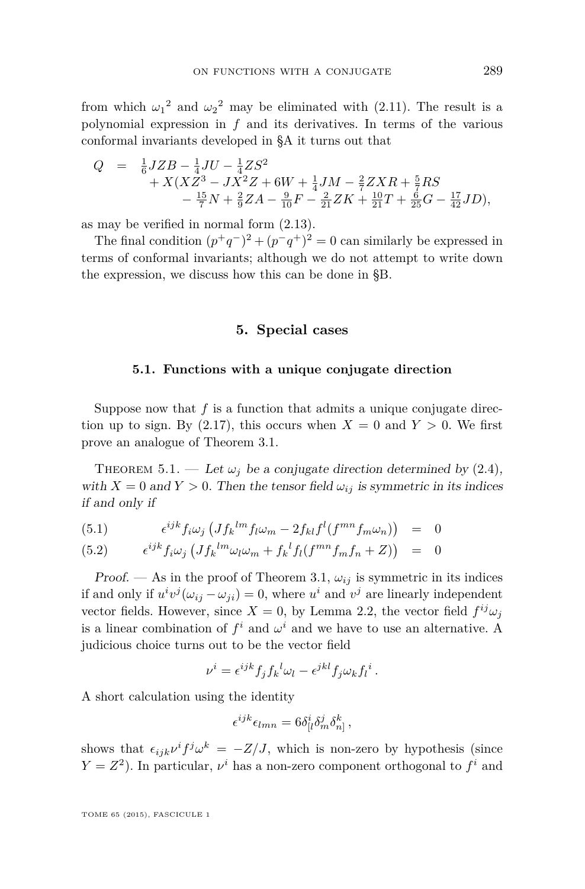<span id="page-13-0"></span>from which  $\omega_1^2$  and  $\omega_2^2$  may be eliminated with [\(2.11\)](#page-6-0). The result is a polynomial expression in *f* and its derivatives. In terms of the various conformal invariants developed in [§A](#page-24-0) it turns out that

$$
Q = \frac{1}{6} JZB - \frac{1}{4}JU - \frac{1}{4}ZS^2 + X(XZ^3 - JX^2Z + 6W + \frac{1}{4}JM - \frac{2}{7}ZXR + \frac{5}{7}RS -\frac{15}{7}N + \frac{2}{9}ZA - \frac{9}{10}F - \frac{2}{21}ZK + \frac{10}{21}T + \frac{6}{25}G - \frac{17}{42}JD),
$$

as may be verified in normal form [\(2.13\)](#page-7-0).

The final condition  $(p^+q^-)^2 + (p^-q^+)^2 = 0$  can similarly be expressed in terms of conformal invariants; although we do not attempt to write down the expression, we discuss how this can be done in [§B.](#page-29-0)

# **5. Special cases**

#### **5.1. Functions with a unique conjugate direction**

Suppose now that *f* is a function that admits a unique conjugate direction up to sign. By  $(2.17)$ , this occurs when  $X = 0$  and  $Y > 0$ . We first prove an analogue of Theorem [3.1.](#page-8-0)

THEOREM 5.1. — Let  $\omega_i$  be a conjugate direction determined by [\(2.4\)](#page-5-0), with  $X = 0$  and  $Y > 0$ . Then the tensor field  $\omega_{ij}$  is symmetric in its indices if and only if

$$
(5.1) \qquad \epsilon^{ijk} f_i \omega_j \left( J f_k^{lm} f_l \omega_m - 2 f_{kl} f^l (f^{mn} f_m \omega_n) \right) = 0
$$

$$
(5.2) \qquad \epsilon^{ijk} f_i \omega_j \left( J f_k^{lm} \omega_l \omega_m + f_k^l f_l (f^{mn} f_m f_n + Z) \right) = 0
$$

Proof. — As in the proof of Theorem [3.1,](#page-8-0)  $\omega_{ij}$  is symmetric in its indices if and only if  $u^i v^j (\omega_{ij} - \omega_{ji}) = 0$ , where  $u^i$  and  $v^j$  are linearly independent vector fields. However, since  $X = 0$ , by Lemma [2.2,](#page-5-0) the vector field  $f^{ij}\omega_j$ is a linear combination of  $f^i$  and  $\omega^i$  and we have to use an alternative. A judicious choice turns out to be the vector field

$$
\nu^{i} = \epsilon^{ijk} f_j f_k^{l} \omega_l - \epsilon^{jkl} f_j \omega_k f_l^{i}.
$$

A short calculation using the identity

$$
\epsilon^{ijk}\epsilon_{lmn} = 6\delta^i_{[l}\delta^j_m\delta^k_{n]},
$$

shows that  $\epsilon_{ijk}\nu^if^j\omega^k = -Z/J$ , which is non-zero by hypothesis (since  $Y = Z<sup>2</sup>$ ). In particular,  $\nu^{i}$  has a non-zero component orthogonal to  $f^{i}$  and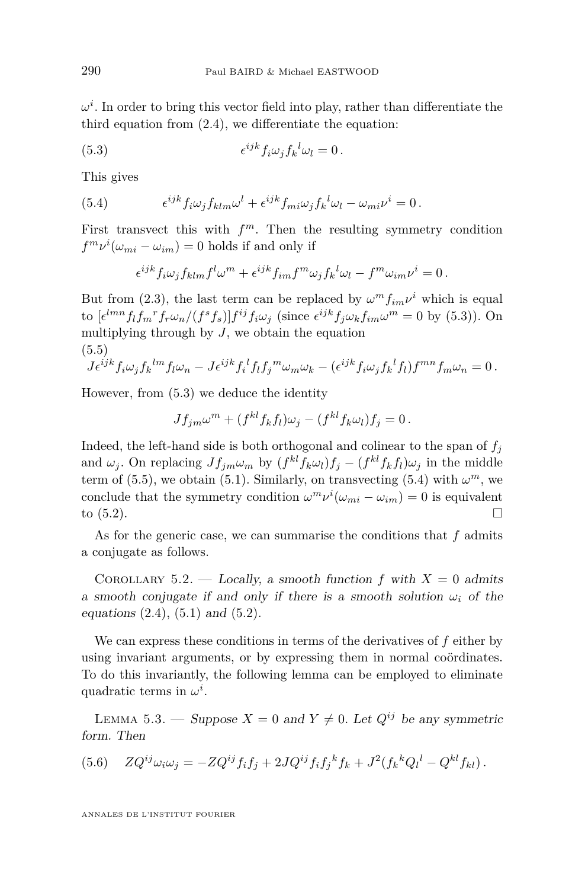<span id="page-14-0"></span> $\omega^i$ . In order to bring this vector field into play, rather than differentiate the third equation from [\(2.4\)](#page-5-0), we differentiate the equation:

(5.3) 
$$
\epsilon^{ijk} f_i \omega_j f_k^{\ l} \omega_l = 0.
$$

This gives

(5.4) 
$$
\epsilon^{ijk} f_i \omega_j f_{klm} \omega^l + \epsilon^{ijk} f_{mi} \omega_j f_k^{\ l} \omega_l - \omega_{mi} \nu^i = 0.
$$

First transvect this with  $f^m$ . Then the resulting symmetry condition  $f^m v^i(\omega_{mi} - \omega_{im}) = 0$  holds if and only if

$$
\epsilon^{ijk} f_i \omega_j f_{klm} f^l \omega^m + \epsilon^{ijk} f_{im} f^m \omega_j f_k^l \omega_l - f^m \omega_{im} \nu^i = 0.
$$

But from [\(2.3\)](#page-5-0), the last term can be replaced by  $\omega^m f_{im} \nu^i$  which is equal to  $[\epsilon^{lmn} f_l f_m{}^r f_r \omega_n/(f^s f_s)] f^{ij} f_i \omega_j$  (since  $\epsilon^{ijk} f_j \omega_k f_{im} \omega^m = 0$  by (5.3)). On multiplying through by  $J$ , we obtain the equation (5.5)

$$
J\epsilon^{ijk}f_i\omega_jf_k{}^{lm}f_l\omega_n-J\epsilon^{ijk}f_i{}^l f_l f_j{}^m\omega_m\omega_k-(\epsilon^{ijk}f_i\omega_jf_k{}^l f_l)f^{mn}f_m\omega_n=0.
$$

However, from (5.3) we deduce the identity

$$
Jf_{jm}\omega^m + (f^{kl}f_kf_l)\omega_j - (f^{kl}f_k\omega_l)f_j = 0.
$$

Indeed, the left-hand side is both orthogonal and colinear to the span of  $f_j$ and  $\omega_j$ . On replacing  $Jf_{jm}\omega_m$  by  $(f^{kl}f_k\omega_l)f_j - (f^{kl}f_kf_l)\omega_j$  in the middle term of (5.5), we obtain [\(5.1\)](#page-13-0). Similarly, on transvecting (5.4) with  $\omega^m$ , we conclude that the symmetry condition  $\omega^m \nu^i(\omega_{mi} - \omega_{im}) = 0$  is equivalent to  $(5.2)$ .

As for the generic case, we can summarise the conditions that *f* admits a conjugate as follows.

COROLLARY 5.2. — Locally, a smooth function f with  $X = 0$  admits a smooth conjugate if and only if there is a smooth solution  $\omega_i$  of the equations  $(2.4)$ ,  $(5.1)$  and  $(5.2)$ .

We can express these conditions in terms of the derivatives of *f* either by using invariant arguments, or by expressing them in normal coördinates. To do this invariantly, the following lemma can be employed to eliminate quadratic terms in  $\omega^i$ .

LEMMA 5.3. — Suppose  $X = 0$  and  $Y \neq 0$ . Let  $Q^{ij}$  be any symmetric form. Then

(5.6) 
$$
ZQ^{ij}\omega_i\omega_j = -ZQ^{ij}f_if_j + 2JQ^{ij}f_if_j^k f_k + J^2(f_k^k Q_l^l - Q^{kl}f_{kl}).
$$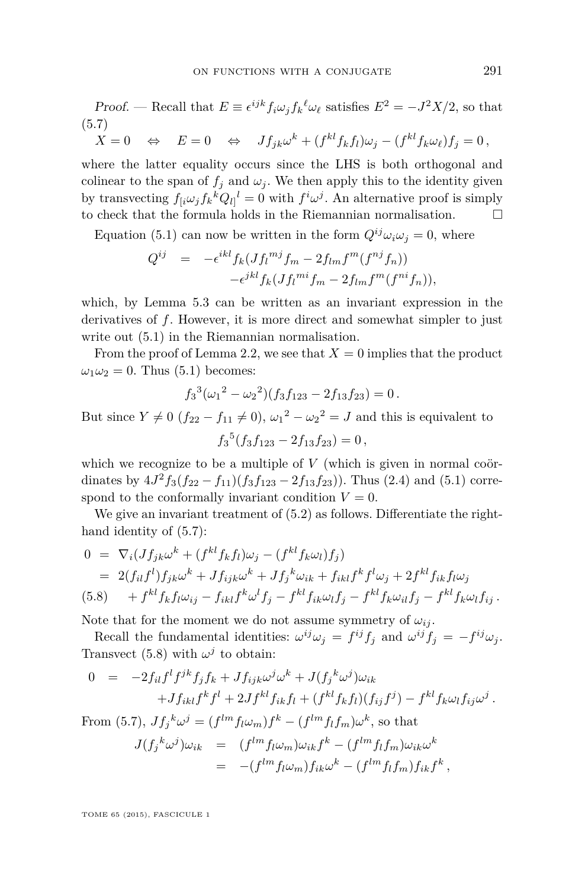Proof. — Recall that  $E \equiv \epsilon^{ijk} f_i \omega_j f_k^{\ell} \omega_{\ell}$  satisfies  $E^2 = -J^2 X/2$ , so that (5.7)

 $X = 0 \Rightarrow E = 0 \Leftrightarrow Jf_{jk}\omega^k + (f^{kl}f_kf_l)\omega_j - (f^{kl}f_k\omega_\ell)f_j = 0,$ 

where the latter equality occurs since the LHS is both orthogonal and colinear to the span of  $f_i$  and  $\omega_i$ . We then apply this to the identity given by transvecting  $f_{[i}\omega_j f_k^k Q_{l]}^l = 0$  with  $f^i \omega^j$ . An alternative proof is simply to check that the formula holds in the Riemannian normalisation.

Equation [\(5.1\)](#page-13-0) can now be written in the form  $Q^{ij}\omega_i\omega_j=0$ , where

$$
Q^{ij} = -\epsilon^{ikl} f_k (Jf_l^{mj} f_m - 2f_{lm} f^m (f^{nj} f_n))
$$
  

$$
-\epsilon^{jkl} f_k (Jf_l^{mi} f_m - 2f_{lm} f^m (f^{ni} f_n)),
$$

which, by Lemma [5.3](#page-14-0) can be written as an invariant expression in the derivatives of *f*. However, it is more direct and somewhat simpler to just write out  $(5.1)$  in the Riemannian normalisation.

From the proof of Lemma [2.2,](#page-5-0) we see that  $X = 0$  implies that the product  $\omega_1 \omega_2 = 0$ . Thus [\(5.1\)](#page-13-0) becomes:

$$
f_3^3(\omega_1^2 - \omega_2^2)(f_3f_{123} - 2f_{13}f_{23}) = 0.
$$

But since  $Y \neq 0$  ( $f_{22} - f_{11} \neq 0$ ),  $\omega_1^2 - \omega_2^2 = J$  and this is equivalent to  $f_3^5(f_3f_{123} - 2f_{13}f_{23}) = 0$ ,

which we recognize to be a multiple of *V* (which is given in normal coördinates by  $4J^2f_3(f_{22} - f_{11})(f_3f_{123} - 2f_{13}f_{23})$ . Thus [\(2.4\)](#page-5-0) and [\(5.1\)](#page-13-0) correspond to the conformally invariant condition  $V = 0$ .

We give an invariant treatment of  $(5.2)$  as follows. Differentiate the righthand identity of (5.7):

$$
0 = \nabla_i (Jf_{jk}\omega^k + (f^{kl}f_kf_l)\omega_j - (f^{kl}f_k\omega_l)f_j)
$$
  
\n
$$
= 2(f_{il}f^l)f_{jk}\omega^k + Jf_{ijk}\omega^k + Jf_j^k\omega_{ik} + f_{ikl}f^k f^l\omega_j + 2f^{kl}f_{ik}f_l\omega_j
$$
  
\n(5.8) 
$$
+ f^{kl}f_kf_l\omega_{ij} - f_{ikl}f^k\omega^l f_j - f^{kl}f_{ik}\omega_l f_j - f^{kl}f_k\omega_{il}f_j - f^{kl}f_k\omega_l f_{ij}.
$$

Note that for the moment we do not assume symmetry of  $\omega_{ij}$ .

Recall the fundamental identities:  $\omega^{ij}\omega_j = f^{ij}f_j$  and  $\omega^{ij}f_j = -f^{ij}\omega_j$ . Transvect (5.8) with  $\omega^j$  to obtain:

$$
0 = -2f_{il}f^lf^{jk}f_jf_k + Jf_{ijk}\omega^j\omega^k + J(f_j^k\omega^j)\omega_{ik}
$$
  
+
$$
Jf_{ik}f^kf^l + 2Jf^{kl}f_{ik}f_l + (f^{kl}f_kf_l)(f_{ij}f^j) - f^{kl}f_k\omega_lf_{ij}\omega^j.
$$

From (5.7),  $Jf_j^k \omega^j = (f^{lm}f_l\omega_m)f^k - (f^{lm}f_lf_m)\omega^k$ , so that

$$
J(f_j{}^k \omega^j) \omega_{ik} = (f^{lm} f_l \omega_m) \omega_{ik} f^k - (f^{lm} f_l f_m) \omega_{ik} \omega^k
$$
  
= 
$$
-(f^{lm} f_l \omega_m) f_{ik} \omega^k - (f^{lm} f_l f_m) f_{ik} f^k,
$$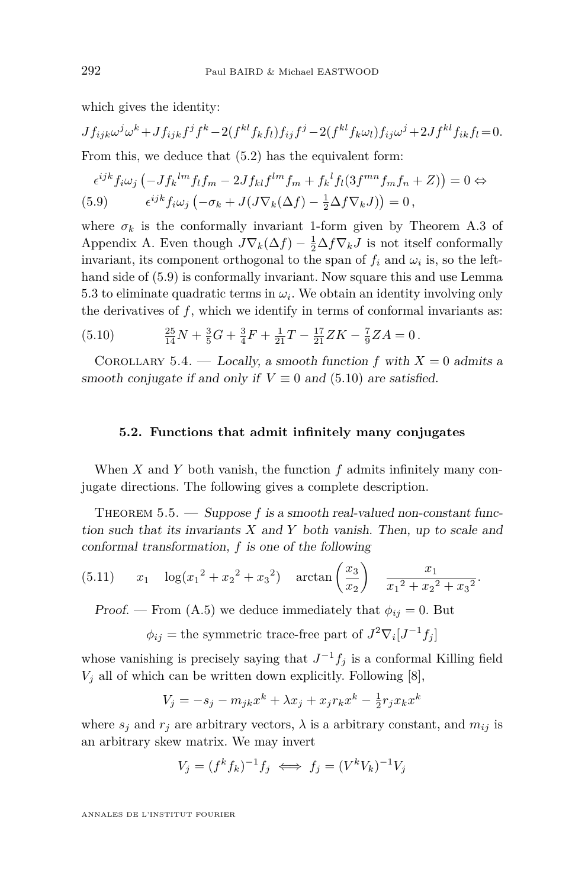<span id="page-16-0"></span>which gives the identity:

$$
Jf_{ijk}\omega^{j}\omega^{k} + Jf_{ijk}f^{j}f^{k} - 2(f^{kl}f_{k}f_{l})f_{ij}f^{j} - 2(f^{kl}f_{k}\omega_{l})f_{ij}\omega^{j} + 2Jf^{kl}f_{ik}f_{l} = 0.
$$
  
From this, we deduce that (5.2) has the equivalent form:

$$
\epsilon^{ijk} f_i \omega_j \left( -J f_k^{lm} f_l f_m - 2J f_{kl} f^{lm} f_m + f_k^l f_l (3f^{mn} f_m f_n + Z) \right) = 0 \Leftrightarrow
$$
  
(5.9) 
$$
\epsilon^{ijk} f_i \omega_j \left( -\sigma_k + J (J \nabla_k (\Delta f) - \frac{1}{2} \Delta f \nabla_k J) \right) = 0,
$$

where  $\sigma_k$  is the conformally invariant 1-form given by Theorem [A.3](#page-28-0) of Appendix [A.](#page-24-0) Even though  $J\nabla_k(\Delta f) - \frac{1}{2}\Delta f \nabla_k J$  is not itself conformally invariant, its component orthogonal to the span of  $f_i$  and  $\omega_i$  is, so the lefthand side of (5.9) is conformally invariant. Now square this and use Lemma [5.3](#page-14-0) to eliminate quadratic terms in  $\omega_i$ . We obtain an identity involving only the derivatives of  $f$ , which we identify in terms of conformal invariants as:

(5.10) 
$$
\frac{25}{14}N + \frac{3}{5}G + \frac{3}{4}F + \frac{1}{21}T - \frac{17}{21}ZK - \frac{7}{9}ZA = 0.
$$

COROLLARY 5.4. — Locally, a smooth function  $f$  with  $X = 0$  admits a smooth conjugate if and only if  $V \equiv 0$  and (5.10) are satisfied.

### **5.2. Functions that admit infinitely many conjugates**

When *X* and *Y* both vanish, the function *f* admits infinitely many conjugate directions. The following gives a complete description.

THEOREM 5.5. — Suppose f is a smooth real-valued non-constant function such that its invariants *X* and *Y* both vanish. Then, up to scale and conformal transformation, *f* is one of the following

(5.11) 
$$
x_1 \quad \log(x_1^2 + x_2^2 + x_3^2) \quad \arctan\left(\frac{x_3}{x_2}\right) \quad \frac{x_1}{x_1^2 + x_2^2 + x_3^2}.
$$

Proof. — From [\(A.5\)](#page-29-0) we deduce immediately that  $\phi_{ij} = 0$ . But

 $\phi_{ij}$  = the symmetric trace-free part of  $J^2 \nabla_i [J^{-1} f_j]$ 

whose vanishing is precisely saying that  $J^{-1}f_j$  is a conformal Killing field  $V_j$  all of which can be written down explicitly. Following  $[8]$ ,

$$
V_j = -s_j - m_{jk}x^k + \lambda x_j + x_j r_k x^k - \frac{1}{2}r_j x_k x^k
$$

where  $s_j$  and  $r_j$  are arbitrary vectors,  $\lambda$  is a arbitrary constant, and  $m_{ij}$  is an arbitrary skew matrix. We may invert

$$
V_j = (f^k f_k)^{-1} f_j \iff f_j = (V^k V_k)^{-1} V_j
$$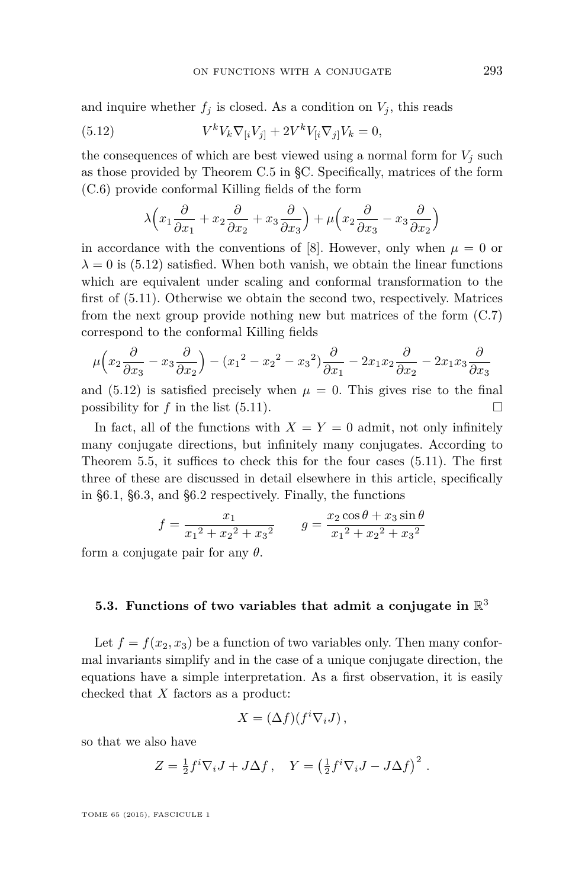and inquire whether  $f_j$  is closed. As a condition on  $V_j$ , this reads

(5.12) 
$$
V^{k}V_{k}\nabla_{[i}V_{j]} + 2V^{k}V_{[i}\nabla_{j]}V_{k} = 0,
$$

the consequences of which are best viewed using a normal form for  $V_i$  such as those provided by Theorem [C.5](#page-37-0) in [§C.](#page-32-0) Specifically, matrices of the form [\(C.6\)](#page-37-0) provide conformal Killing fields of the form

$$
\lambda \Big( x_1 \frac{\partial}{\partial x_1} + x_2 \frac{\partial}{\partial x_2} + x_3 \frac{\partial}{\partial x_3} \Big) + \mu \Big( x_2 \frac{\partial}{\partial x_3} - x_3 \frac{\partial}{\partial x_2} \Big)
$$

in accordance with the conventions of [\[8\]](#page-38-0). However, only when  $\mu = 0$  or  $\lambda = 0$  is (5.12) satisfied. When both vanish, we obtain the linear functions which are equivalent under scaling and conformal transformation to the first of [\(5.11\)](#page-16-0). Otherwise we obtain the second two, respectively. Matrices from the next group provide nothing new but matrices of the form [\(C.7\)](#page-37-0) correspond to the conformal Killing fields

$$
\mu\left(x_2\frac{\partial}{\partial x_3} - x_3\frac{\partial}{\partial x_2}\right) - \left(x_1^2 - x_2^2 - x_3^2\right)\frac{\partial}{\partial x_1} - 2x_1x_2\frac{\partial}{\partial x_2} - 2x_1x_3\frac{\partial}{\partial x_3}
$$

and  $(5.12)$  is satisfied precisely when  $\mu = 0$ . This gives rise to the final possibility for  $f$  in the list [\(5.11\)](#page-16-0).

In fact, all of the functions with  $X = Y = 0$  admit, not only infinitely many conjugate directions, but infinitely many conjugates. According to Theorem [5.5,](#page-16-0) it suffices to check this for the four cases [\(5.11\)](#page-16-0). The first three of these are discussed in detail elsewhere in this article, specifically in [§6.1,](#page-19-0) [§6.3,](#page-20-0) and [§6.2](#page-19-0) respectively. Finally, the functions

$$
f = \frac{x_1}{x_1^2 + x_2^2 + x_3^2} \qquad g = \frac{x_2 \cos \theta + x_3 \sin \theta}{x_1^2 + x_2^2 + x_3^2}
$$

form a conjugate pair for any *θ*.

# **5.3. Functions of two variables that admit a conjugate in** R 3

Let  $f = f(x_2, x_3)$  be a function of two variables only. Then many conformal invariants simplify and in the case of a unique conjugate direction, the equations have a simple interpretation. As a first observation, it is easily checked that *X* factors as a product:

$$
X = (\Delta f)(f^i \nabla_i J) \,,
$$

so that we also have

$$
Z = \frac{1}{2} f^i \nabla_i J + J \Delta f \,, \quad Y = \left(\frac{1}{2} f^i \nabla_i J - J \Delta f\right)^2 \,.
$$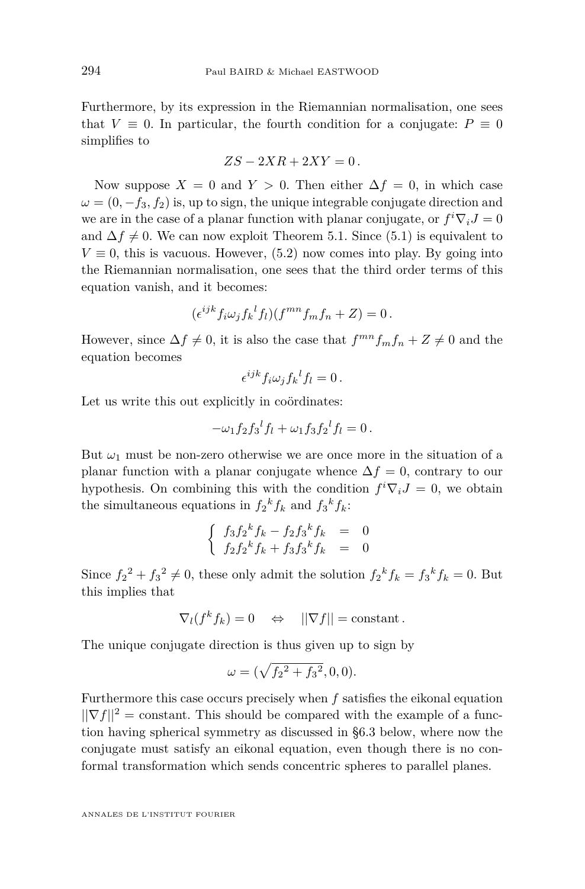Furthermore, by its expression in the Riemannian normalisation, one sees that  $V \equiv 0$ . In particular, the fourth condition for a conjugate:  $P \equiv 0$ simplifies to

$$
ZS - 2XR + 2XY = 0.
$$

Now suppose  $X = 0$  and  $Y > 0$ . Then either  $\Delta f = 0$ , in which case  $\omega = (0, -f_3, f_2)$  is, up to sign, the unique integrable conjugate direction and we are in the case of a planar function with planar conjugate, or  $f^i \nabla_i J = 0$ and  $\Delta f \neq 0$ . We can now exploit Theorem [5.1.](#page-13-0) Since [\(5.1\)](#page-13-0) is equivalent to  $V \equiv 0$ , this is vacuous. However,  $(5.2)$  now comes into play. By going into the Riemannian normalisation, one sees that the third order terms of this equation vanish, and it becomes:

$$
(\epsilon^{ijk} f_i \omega_j f_k{}^l f_l)(f^{mn} f_m f_n + Z) = 0.
$$

However, since  $\Delta f \neq 0$ , it is also the case that  $f^{mn}f_mf_n + Z \neq 0$  and the equation becomes

$$
\epsilon^{ijk} f_i \omega_j f_k{}^l f_l = 0 \,.
$$

Let us write this out explicitly in coördinates:

$$
-\omega_1 f_2 f_3{}^l f_l + \omega_1 f_3 f_2{}^l f_l = 0.
$$

But  $\omega_1$  must be non-zero otherwise we are once more in the situation of a planar function with a planar conjugate whence  $\Delta f = 0$ , contrary to our hypothesis. On combining this with the condition  $f^i \nabla_i J = 0$ , we obtain the simultaneous equations in  $f_2^k f_k$  and  $f_3^k f_k$ :

$$
\begin{cases}\n f_3 f_2^k f_k - f_2 f_3^k f_k = 0 \\
 f_2 f_2^k f_k + f_3 f_3^k f_k = 0\n\end{cases}
$$

Since  $f_2^2 + f_3^2 \neq 0$ , these only admit the solution  $f_2^k f_k = f_3^k f_k = 0$ . But this implies that

$$
\nabla_l(f^k f_k) = 0 \quad \Leftrightarrow \quad ||\nabla f|| = \text{constant} \, .
$$

The unique conjugate direction is thus given up to sign by

$$
\omega = (\sqrt{f_2^2 + f_3^2}, 0, 0).
$$

Furthermore this case occurs precisely when *f* satisfies the eikonal equation  $||\nabla f||^2$  = constant. This should be compared with the example of a function having spherical symmetry as discussed in [§6.3](#page-20-0) below, where now the conjugate must satisfy an eikonal equation, even though there is no conformal transformation which sends concentric spheres to parallel planes.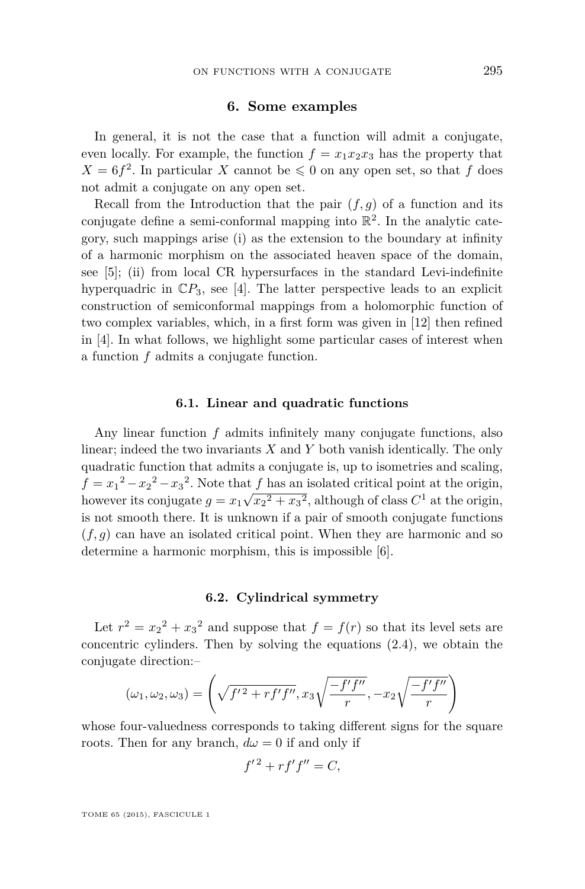# **6. Some examples**

<span id="page-19-0"></span>In general, it is not the case that a function will admit a conjugate, even locally. For example, the function  $f = x_1x_2x_3$  has the property that  $X = 6f^2$ . In particular *X* cannot be  $\leq 0$  on any open set, so that *f* does not admit a conjugate on any open set.

Recall from the Introduction that the pair  $(f, g)$  of a function and its conjugate define a semi-conformal mapping into  $\mathbb{R}^2$ . In the analytic category, such mappings arise (i) as the extension to the boundary at infinity of a harmonic morphism on the associated heaven space of the domain, see [\[5\]](#page-38-0); (ii) from local CR hypersurfaces in the standard Levi-indefinite hyperquadric in  $\mathbb{C}P_3$ , see [\[4\]](#page-37-0). The latter perspective leads to an explicit construction of semiconformal mappings from a holomorphic function of two complex variables, which, in a first form was given in [\[12\]](#page-38-0) then refined in [\[4\]](#page-37-0). In what follows, we highlight some particular cases of interest when a function *f* admits a conjugate function.

#### **6.1. Linear and quadratic functions**

Any linear function *f* admits infinitely many conjugate functions, also linear; indeed the two invariants *X* and *Y* both vanish identically. The only quadratic function that admits a conjugate is, up to isometries and scaling,  $f = x_1^2 - x_2^2 - x_3^2$ . Note that *f* has an isolated critical point at the origin, however its conjugate  $g = x_1$ √  $\sqrt{x_2^2 + x_3^2}$ , although of class  $C^1$  at the origin, is not smooth there. It is unknown if a pair of smooth conjugate functions (*f, g*) can have an isolated critical point. When they are harmonic and so determine a harmonic morphism, this is impossible [\[6\]](#page-38-0).

#### **6.2. Cylindrical symmetry**

Let  $r^2 = x_2^2 + x_3^2$  and suppose that  $f = f(r)$  so that its level sets are concentric cylinders. Then by solving the equations [\(2.4\)](#page-5-0), we obtain the conjugate direction:–

$$
(\omega_1, \omega_2, \omega_3) = \left(\sqrt{f'^2 + rf'f''}, x_3\sqrt{\frac{-f'f''}{r}}, -x_2\sqrt{\frac{-f'f''}{r}}\right)
$$

whose four-valuedness corresponds to taking different signs for the square roots. Then for any branch,  $d\omega = 0$  if and only if

$$
f^{\prime\,2} + rf^\prime f^{\prime\prime} = C,
$$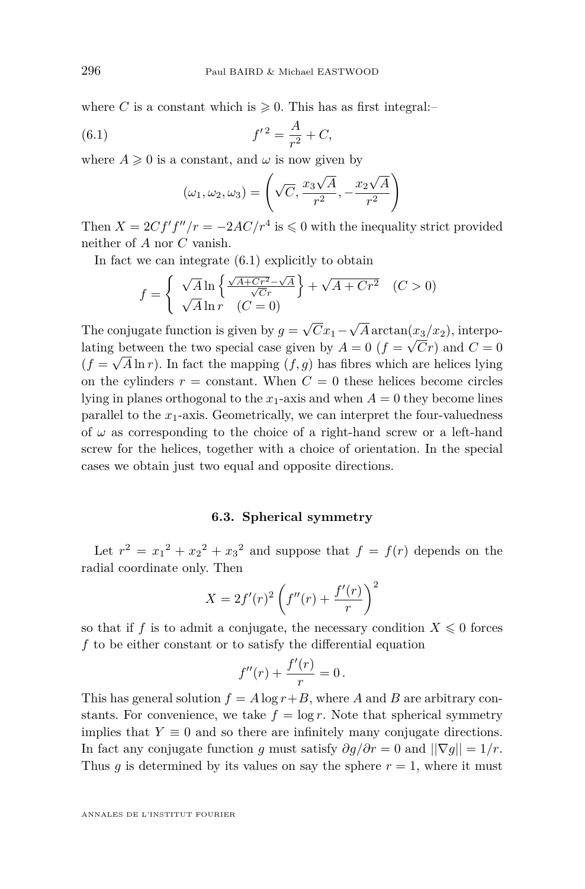<span id="page-20-0"></span>where *C* is a constant which is  $\geq 0$ . This has as first integral:-

(6.1) 
$$
f'^2 = \frac{A}{r^2} + C,
$$

where  $A \geq 0$  is a constant, and  $\omega$  is now given by

$$
(\omega_1, \omega_2, \omega_3) = \left(\sqrt{C}, \frac{x_3\sqrt{A}}{r^2}, -\frac{x_2\sqrt{A}}{r^2}\right)
$$

Then  $X = 2Cf'f''/r = -2AC/r^4$  is  $\leq 0$  with the inequality strict provided neither of *A* nor *C* vanish.

In fact we can integrate (6.1) explicitly to obtain

$$
f = \begin{cases} \sqrt{A} \ln \left\{ \frac{\sqrt{A + Cr^2} - \sqrt{A}}{\sqrt{C}r} \right\} + \sqrt{A + Cr^2} & (C > 0) \\ \sqrt{A} \ln r & (C = 0) \end{cases}
$$

The conjugate function is given by  $g =$ *Cx*1−  $A \arctan(x_3/x_2)$ , interpolating between the two special case given by  $A = 0$  ( $f =$ √ *Cr*) special case given by  $A = 0$  ( $f = \sqrt{Cr}$ ) and  $C = 0$  $(f = \sqrt{A \ln r})$ . In fact the mapping  $(f, g)$  has fibres which are helices lying on the cylinders  $r = constant$ . When  $C = 0$  these helices become circles lying in planes orthogonal to the  $x_1$ -axis and when  $A = 0$  they become lines parallel to the  $x_1$ -axis. Geometrically, we can interpret the four-valuedness of  $\omega$  as corresponding to the choice of a right-hand screw or a left-hand screw for the helices, together with a choice of orientation. In the special cases we obtain just two equal and opposite directions.

# **6.3. Spherical symmetry**

Let  $r^2 = x_1^2 + x_2^2 + x_3^2$  and suppose that  $f = f(r)$  depends on the radial coordinate only. Then

$$
X = 2f'(r)^2 \left(f''(r) + \frac{f'(r)}{r}\right)^2
$$

so that if *f* is to admit a conjugate, the necessary condition  $X \leq 0$  forces *f* to be either constant or to satisfy the differential equation

$$
f''(r) + \frac{f'(r)}{r} = 0.
$$

This has general solution  $f = A \log r + B$ , where *A* and *B* are arbitrary constants. For convenience, we take  $f = \log r$ . Note that spherical symmetry implies that  $Y \equiv 0$  and so there are infinitely many conjugate directions. In fact any conjugate function *g* must satisfy  $\partial g/\partial r = 0$  and  $||\nabla g|| = 1/r$ . Thus  $g$  is determined by its values on say the sphere  $r = 1$ , where it must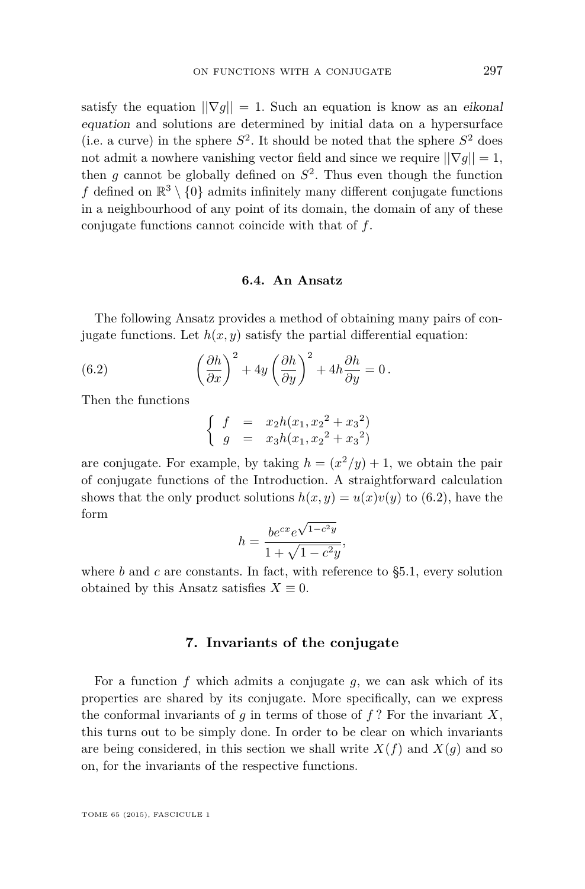<span id="page-21-0"></span>satisfy the equation  $||\nabla g|| = 1$ . Such an equation is know as an eikonal equation and solutions are determined by initial data on a hypersurface (i.e. a curve) in the sphere  $S^2$ . It should be noted that the sphere  $S^2$  does not admit a nowhere vanishing vector field and since we require  $||\nabla g|| = 1$ , then  $g$  cannot be globally defined on  $S^2$ . Thus even though the function f defined on  $\mathbb{R}^3 \setminus \{0\}$  admits infinitely many different conjugate functions in a neighbourhood of any point of its domain, the domain of any of these conjugate functions cannot coincide with that of *f*.

## **6.4. An Ansatz**

The following Ansatz provides a method of obtaining many pairs of conjugate functions. Let  $h(x, y)$  satisfy the partial differential equation:

(6.2) 
$$
\left(\frac{\partial h}{\partial x}\right)^2 + 4y \left(\frac{\partial h}{\partial y}\right)^2 + 4h \frac{\partial h}{\partial y} = 0.
$$

Then the functions

$$
\begin{cases}\n f = x_2 h(x_1, x_2^2 + x_3^2) \\
 g = x_3 h(x_1, x_2^2 + x_3^2)\n\end{cases}
$$

are conjugate. For example, by taking  $h = (x^2/y) + 1$ , we obtain the pair of conjugate functions of the Introduction. A straightforward calculation shows that the only product solutions  $h(x, y) = u(x)v(y)$  to (6.2), have the form √

$$
h = \frac{be^{cx}e^{\sqrt{1-c^2y}}}{1 + \sqrt{1-c^2y}},
$$

where  $b$  and  $c$  are constants. In fact, with reference to  $\S5.1$ , every solution obtained by this Ansatz satisfies  $X \equiv 0$ .

## **7. Invariants of the conjugate**

For a function *f* which admits a conjugate *g*, we can ask which of its properties are shared by its conjugate. More specifically, can we express the conformal invariants of  $q$  in terms of those of  $f$ ? For the invariant  $X$ , this turns out to be simply done. In order to be clear on which invariants are being considered, in this section we shall write  $X(f)$  and  $X(g)$  and so on, for the invariants of the respective functions.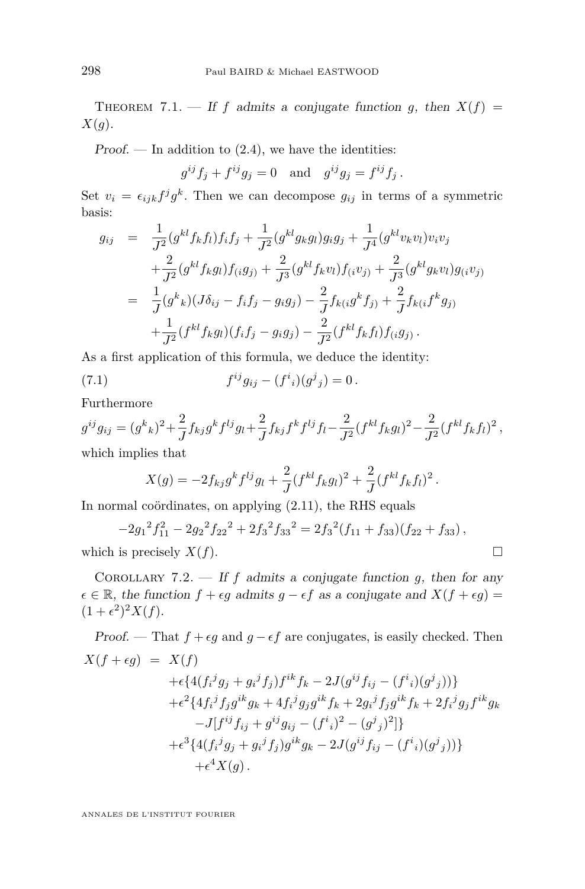<span id="page-22-0"></span>THEOREM 7.1. — If *f* admits a conjugate function *g*, then  $X(f)$  = *X*(*g*).

Proof. — In addition to  $(2.4)$ , we have the identities:

 $g^{ij}f_j + f^{ij}g_j = 0$  and  $g^{ij}g_j = f^{ij}f_j$ .

Set  $v_i = \epsilon_{ijk} f^j g^k$ . Then we can decompose  $g_{ij}$  in terms of a symmetric basis:

$$
g_{ij} = \frac{1}{J^2} (g^{kl} f_k f_l) f_i f_j + \frac{1}{J^2} (g^{kl} g_k g_l) g_i g_j + \frac{1}{J^4} (g^{kl} v_k v_l) v_i v_j + \frac{2}{J^2} (g^{kl} f_k g_l) f_i g_j + \frac{2}{J^3} (g^{kl} f_k v_l) f_i v_j + \frac{2}{J^3} (g^{kl} g_k v_l) g_i v_j = \frac{1}{J} (g^k{}_k) (J \delta_{ij} - f_i f_j - g_i g_j) - \frac{2}{J} f_{k(i} g^k f_j) + \frac{2}{J} f_{k(i} f^k g_j) + \frac{1}{J^2} (f^{kl} f_k g_l) (f_i f_j - g_i g_j) - \frac{2}{J^2} (f^{kl} f_k f_l) f_i g_j.
$$

As a first application of this formula, we deduce the identity:

(7.1) 
$$
f^{ij}g_{ij} - (f^i{}_i)(g^j{}_j) = 0.
$$

Furthermore

$$
g^{ij}g_{ij} = (g^k{}_k)^2 + \frac{2}{J}f_{kj}g^kf^{lj}g_l + \frac{2}{J}f_{kj}f^kf^{lj}f_l - \frac{2}{J^2}(f^{kl}f_kg_l)^2 - \frac{2}{J^2}(f^{kl}f_kf_l)^2,
$$
  
which implies that

$$
X(g) = -2f_{kj}g^{k}f^{lj}g_{l} + \frac{2}{J}(f^{kl}f_{k}g_{l})^{2} + \frac{2}{J}(f^{kl}f_{k}f_{l})^{2}.
$$

In normal coördinates, on applying  $(2.11)$ , the RHS equals

$$
-2g_1^2f_{11}^2 - 2g_2^2f_{22}^2 + 2f_3^2f_{33}^2 = 2f_3^2(f_{11} + f_{33})(f_{22} + f_{33}),
$$
  
which is precisely  $X(f)$ .

COROLLARY 7.2. — If  $f$  admits a conjugate function  $g$ , then for any  $\epsilon \in \mathbb{R}$ , the function  $f + \epsilon g$  admits  $g - \epsilon f$  as a conjugate and  $X(f + \epsilon g) =$  $(1 + \epsilon^2)^2 X(f).$ 

*Proof.* — That  $f + \epsilon g$  and  $g - \epsilon f$  are conjugates, is easily checked. Then  $X(f + \epsilon g) = X(f)$  $+\epsilon \{4(f_i{}^j g_j+g_i{}^j f_j)f^{ik}f_k-2J(g^{ij}f_{ij}-(f^i{}_i)(g^j{}_j))\}$  $+\epsilon^2\{4f_{i}{}^{j}f_{j}g^{ik}g_{k}+4f_{i}{}^{j}g_{j}g^{ik}f_{k}+2g_{i}{}^{j}f_{j}g^{ik}f_{k}+2f_{i}{}^{j}g_{j}f^{ik}g_{k}$  $-J[f^{ij}f_{ij} + g^{ij}g_{ij} - (f^i{}_i)^2 - (g^j{}_j)^2]$  $+\epsilon^3\{4(f_i{}^j g_j+g_i{}^j f_j)g^{ik}g_k-2J(g^{ij}f_{ij}-(f^i{}_i)(g^j{}_j))\}$  $+\epsilon^4 X(g)$ .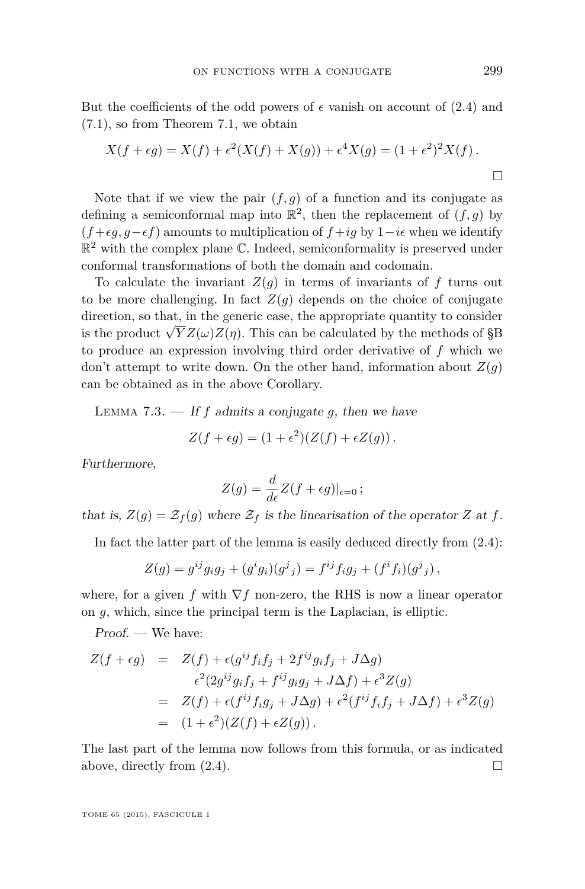<span id="page-23-0"></span>But the coefficients of the odd powers of  $\epsilon$  vanish on account of [\(2.4\)](#page-5-0) and [\(7.1\)](#page-22-0), so from Theorem [7.1,](#page-22-0) we obtain

$$
X(f + \epsilon g) = X(f) + \epsilon^2 (X(f) + X(g)) + \epsilon^4 X(g) = (1 + \epsilon^2)^2 X(f).
$$

Note that if we view the pair  $(f, q)$  of a function and its conjugate as defining a semiconformal map into  $\mathbb{R}^2$ , then the replacement of  $(f, g)$  by  $(f + \epsilon q, q - \epsilon f)$  amounts to multiplication of  $f + ig$  by  $1 - i\epsilon$  when we identify  $\mathbb{R}^2$  with the complex plane C. Indeed, semiconformality is preserved under conformal transformations of both the domain and codomain.

To calculate the invariant  $Z(g)$  in terms of invariants of  $f$  turns out to be more challenging. In fact  $Z(q)$  depends on the choice of conjugate direction, so that, in the generic case, the appropriate quantity to consider is the product  $\sqrt{Y}Z(\omega)Z(\eta)$ . This can be calculated by the methods of [§B](#page-29-0) to produce an expression involving third order derivative of *f* which we don't attempt to write down. On the other hand, information about  $Z(q)$ can be obtained as in the above Corollary.

LEMMA 7.3.  $\frac{d}{dt}$  *If f* admits a conjugate *q*, then we have

$$
Z(f + \epsilon g) = (1 + \epsilon^2)(Z(f) + \epsilon Z(g)).
$$

Furthermore,

$$
Z(g) = \frac{d}{d\epsilon}Z(f + \epsilon g)|_{\epsilon=0};
$$

that is,  $Z(g) = \mathcal{Z}_f(g)$  where  $\mathcal{Z}_f$  is the linearisation of the operator Z at f.

In fact the latter part of the lemma is easily deduced directly from [\(2.4\)](#page-5-0):

$$
Z(g) = g^{ij}g_i g_j + (g^i g_i)(g^j{}_j) = f^{ij}f_i g_j + (f^i f_i)(g^j{}_j) ,
$$

where, for a given *f* with  $\nabla f$  non-zero, the RHS is now a linear operator on *g*, which, since the principal term is the Laplacian, is elliptic.

Proof. — We have:

$$
Z(f + \epsilon g) = Z(f) + \epsilon (g^{ij} f_i f_j + 2f^{ij} g_i f_j + J \Delta g)
$$
  
\n
$$
\epsilon^2 (2g^{ij} g_i f_j + f^{ij} g_i g_j + J \Delta f) + \epsilon^3 Z(g)
$$
  
\n
$$
= Z(f) + \epsilon (f^{ij} f_i g_j + J \Delta g) + \epsilon^2 (f^{ij} f_i f_j + J \Delta f) + \epsilon^3 Z(g)
$$
  
\n
$$
= (1 + \epsilon^2)(Z(f) + \epsilon Z(g)).
$$

The last part of the lemma now follows from this formula, or as indicated above, directly from  $(2.4)$ .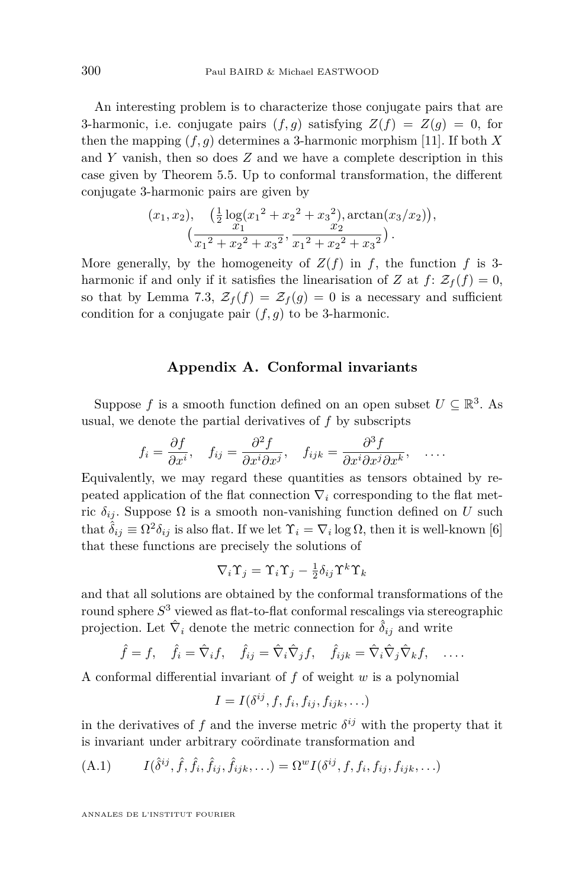<span id="page-24-0"></span>An interesting problem is to characterize those conjugate pairs that are 3-harmonic, i.e. conjugate pairs  $(f, g)$  satisfying  $Z(f) = Z(g) = 0$ , for then the mapping  $(f, g)$  determines a 3-harmonic morphism [\[11\]](#page-38-0). If both X and *Y* vanish, then so does *Z* and we have a complete description in this case given by Theorem [5.5.](#page-16-0) Up to conformal transformation, the different conjugate 3-harmonic pairs are given by

$$
(x_1, x_2), \quad \left(\frac{1}{2}\log(x_1^2 + x_2^2 + x_3^2), \arctan(x_3/x_2)\right),\newline \left(\frac{x_1}{x_1^2 + x_2^2 + x_3^2}, \frac{x_2}{x_1^2 + x_2^2 + x_3^2}\right).
$$

More generally, by the homogeneity of  $Z(f)$  in f, the function f is 3harmonic if and only if it satisfies the linearisation of *Z* at  $f: \mathcal{Z}_f(f) = 0$ , so that by Lemma [7.3,](#page-23-0)  $\mathcal{Z}_f(f) = \mathcal{Z}_f(g) = 0$  is a necessary and sufficient condition for a conjugate pair  $(f, g)$  to be 3-harmonic.

# **Appendix A. Conformal invariants**

Suppose *f* is a smooth function defined on an open subset  $U \subseteq \mathbb{R}^3$ . As usual, we denote the partial derivatives of *f* by subscripts

$$
f_i = \frac{\partial f}{\partial x^i}
$$
,  $f_{ij} = \frac{\partial^2 f}{\partial x^i \partial x^j}$ ,  $f_{ijk} = \frac{\partial^3 f}{\partial x^i \partial x^j \partial x^k}$ , ...

Equivalently, we may regard these quantities as tensors obtained by repeated application of the flat connection  $\nabla_i$  corresponding to the flat metric  $\delta_{ij}$ . Suppose  $\Omega$  is a smooth non-vanishing function defined on *U* such that  $\hat{\delta}_{ij} \equiv \Omega^2 \delta_{ij}$  is also flat. If we let  $\Upsilon_i = \nabla_i \log \Omega$ , then it is well-known [\[6\]](#page-38-0) that these functions are precisely the solutions of

$$
\nabla_i \Upsilon_j = \Upsilon_i \Upsilon_j - \frac{1}{2} \delta_{ij} \Upsilon^k \Upsilon_k
$$

and that all solutions are obtained by the conformal transformations of the round sphere *S* <sup>3</sup> viewed as flat-to-flat conformal rescalings via stereographic projection. Let  $\hat{\nabla}_i$  denote the metric connection for  $\hat{\delta}_{ij}$  and write

$$
\hat{f} = f, \quad \hat{f}_i = \hat{\nabla}_i f, \quad \hat{f}_{ij} = \hat{\nabla}_i \hat{\nabla}_j f, \quad \hat{f}_{ijk} = \hat{\nabla}_i \hat{\nabla}_j \hat{\nabla}_k f, \quad \dots
$$

A conformal differential invariant of *f* of weight *w* is a polynomial

$$
I = I(\delta^{ij}, f, f_i, f_{ij}, f_{ijk}, \ldots)
$$

in the derivatives of f and the inverse metric  $\delta^{ij}$  with the property that it is invariant under arbitrary coördinate transformation and

(A.1) 
$$
I(\hat{\delta}^{ij}, \hat{f}, \hat{f}_i, \hat{f}_{ij}, \hat{f}_{ijk}, \ldots) = \Omega^w I(\delta^{ij}, f, f_i, f_{ij}, f_{ijk}, \ldots)
$$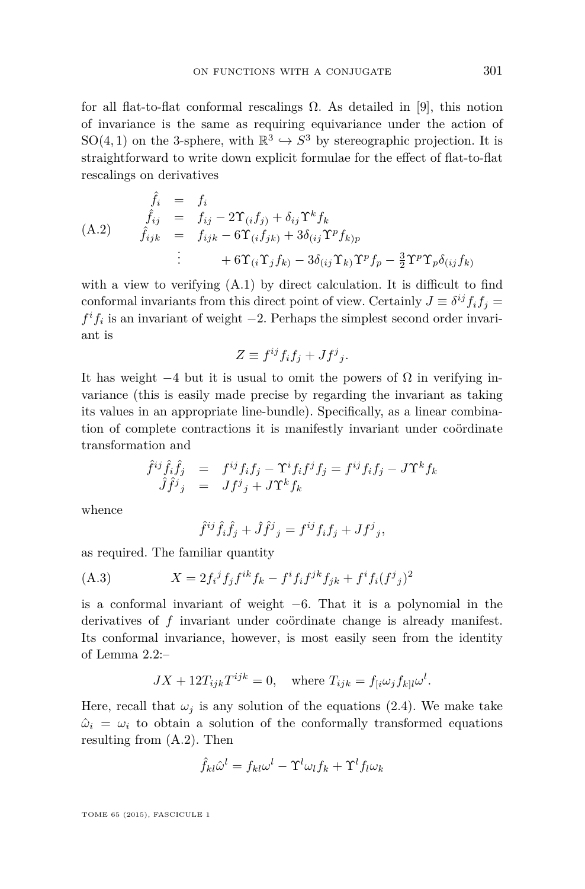<span id="page-25-0"></span>for all flat-to-flat conformal rescalings  $\Omega$ . As detailed in [\[9\]](#page-38-0), this notion of invariance is the same as requiring equivariance under the action of SO(4, 1) on the 3-sphere, with  $\mathbb{R}^3 \hookrightarrow S^3$  by stereographic projection. It is straightforward to write down explicit formulae for the effect of flat-to-flat rescalings on derivatives

$$
\hat{f}_i = f_i
$$
\n
$$
\hat{f}_{ij} = f_{ij} - 2\Upsilon_{(i}f_{j)} + \delta_{ij}\Upsilon^k f_k
$$
\n(A.2) 
$$
\hat{f}_{ijk} = f_{ijk} - 6\Upsilon_{(i}f_{jk)} + 3\delta_{(ij}\Upsilon^p f_{kjp})
$$
\n
$$
\vdots \qquad + 6\Upsilon_{(i}\Upsilon_j f_{kj} - 3\delta_{(ij}\Upsilon_k)\Upsilon^p f_p - \frac{3}{2}\Upsilon^p\Upsilon_p \delta_{(ij}f_{kj})
$$

with a view to verifying  $(A.1)$  by direct calculation. It is difficult to find conformal invariants from this direct point of view. Certainly  $J \equiv \delta^{ij} f_i f_j =$  $f<sup>i</sup>f<sub>i</sub>$  is an invariant of weight −2. Perhaps the simplest second order invariant is

$$
Z \equiv f^{ij} f_i f_j + J f^j{}_j.
$$

It has weight  $-4$  but it is usual to omit the powers of  $\Omega$  in verifying invariance (this is easily made precise by regarding the invariant as taking its values in an appropriate line-bundle). Specifically, as a linear combination of complete contractions it is manifestly invariant under coördinate transformation and

$$
\begin{array}{rcl}\hat{f}^{ij}\hat{f}_{i}\hat{f}_{j} & = & f^{ij}f_{i}f_{j} - \Upsilon^{i}f_{i}f^{j}f_{j} = f^{ij}f_{i}f_{j} - J\Upsilon^{k}f_{k} \\
\hat{J}\hat{f}^{j}{}_{j} & = & Jf^{j}{}_{j} + J\Upsilon^{k}f_{k}\n\end{array}
$$

whence

$$
\hat{f}^{ij}\hat{f}_i\hat{f}_j + \hat{J}\hat{f}^j{}_j = f^{ij}f_if_j + Jf^j{}_j,
$$

as required. The familiar quantity

(A.3) 
$$
X = 2f_i^j f_j f^{ik} f_k - f^i f_i f^{jk} f_{jk} + f^i f_i (f^j{}_j)^2
$$

is a conformal invariant of weight −6. That it is a polynomial in the derivatives of *f* invariant under coördinate change is already manifest. Its conformal invariance, however, is most easily seen from the identity of Lemma [2.2:](#page-5-0)–

$$
JX + 12T_{ijk}T^{ijk} = 0, \quad \text{where } T_{ijk} = f_{[i}\omega_j f_{k]l}\omega^l.
$$

Here, recall that  $\omega_j$  is any solution of the equations [\(2.4\)](#page-5-0). We make take  $\hat{\omega}_i = \omega_i$  to obtain a solution of the conformally transformed equations resulting from (A.2). Then

$$
\hat{f}_{kl}\hat{\omega}^l = f_{kl}\omega^l - \Upsilon^l\omega_lf_k + \Upsilon^l f_l\omega_k
$$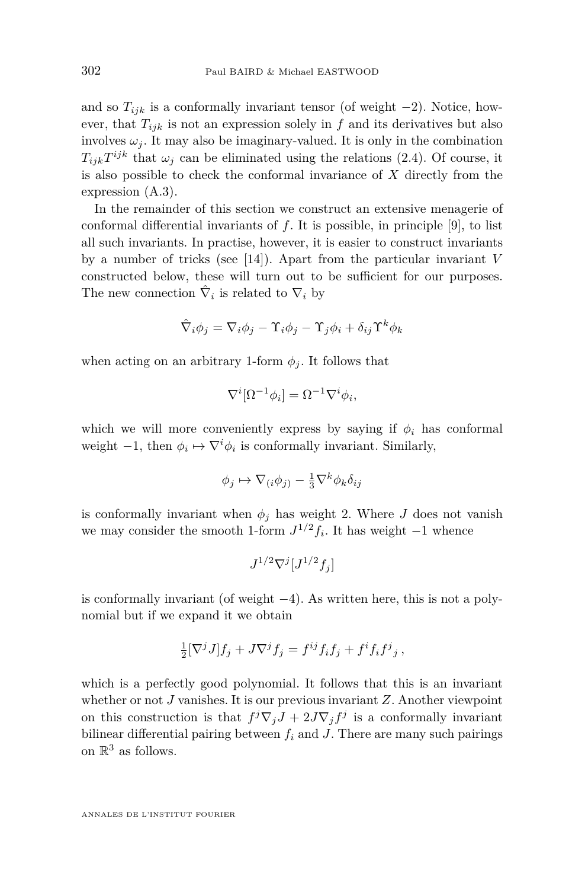and so  $T_{ijk}$  is a conformally invariant tensor (of weight  $-2$ ). Notice, however, that  $T_{ijk}$  is not an expression solely in  $f$  and its derivatives but also involves  $\omega_i$ . It may also be imaginary-valued. It is only in the combination  $T_{ijk}T^{ijk}$  that  $\omega_j$  can be eliminated using the relations [\(2.4\)](#page-5-0). Of course, it is also possible to check the conformal invariance of *X* directly from the expression [\(A.3\)](#page-25-0).

In the remainder of this section we construct an extensive menagerie of conformal differential invariants of *f*. It is possible, in principle [\[9\]](#page-38-0), to list all such invariants. In practise, however, it is easier to construct invariants by a number of tricks (see [\[14\]](#page-38-0)). Apart from the particular invariant *V* constructed below, these will turn out to be sufficient for our purposes. The new connection  $\hat{\nabla}_i$  is related to  $\nabla_i$  by

$$
\hat{\nabla}_i\phi_j=\nabla_i\phi_j-\Upsilon_i\phi_j-\Upsilon_j\phi_i+\delta_{ij}\Upsilon^k\phi_k
$$

when acting on an arbitrary 1-form  $\phi_i$ . It follows that

$$
\nabla^i[\Omega^{-1}\phi_i] = \Omega^{-1}\nabla^i\phi_i,
$$

which we will more conveniently express by saying if  $\phi_i$  has conformal weight  $-1$ , then  $\phi_i \mapsto \nabla^i \phi_i$  is conformally invariant. Similarly,

$$
\phi_j \mapsto \nabla_{(i}\phi_j) - \frac{1}{3}\nabla^k \phi_k \delta_{ij}
$$

is conformally invariant when  $\phi_i$  has weight 2. Where *J* does not vanish we may consider the smooth 1-form  $J^{1/2}f_i$ . It has weight  $-1$  whence

$$
J^{1/2}\nabla^j[J^{1/2}f_j]
$$

is conformally invariant (of weight −4). As written here, this is not a polynomial but if we expand it we obtain

$$
\frac{1}{2} [\nabla^j J] f_j + J \nabla^j f_j = f^{ij} f_i f_j + f^i f_i f^j{}_j,
$$

which is a perfectly good polynomial. It follows that this is an invariant whether or not *J* vanishes. It is our previous invariant *Z*. Another viewpoint on this construction is that  $f^j \nabla_j J + 2J \nabla_j f^j$  is a conformally invariant bilinear differential pairing between  $f_i$  and  $J$ . There are many such pairings on  $\mathbb{R}^3$  as follows.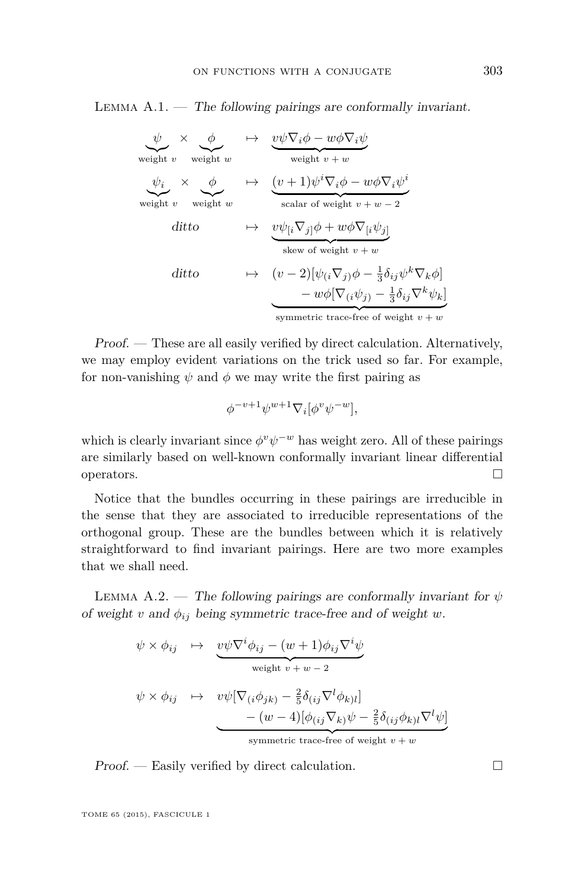<span id="page-27-0"></span>LEMMA  $A.1.$  — The following pairings are conformally invariant.

$$
\psi \times \phi \longrightarrow \psi \text{ weight } v
$$
\n
$$
\psi_i \times \phi \longrightarrow \psi \text{ weight } v + w
$$
\n
$$
\psi_i \times \phi \longrightarrow \psi \text{ weight } v + w
$$
\n
$$
\psi_i \times \phi \longrightarrow \psi \text{ weight } v + w
$$
\n
$$
\psi_i \times \phi \longrightarrow \psi \text{ weight } v + w - 2
$$
\n
$$
\psi \text{ weight } v
$$
\n
$$
\Rightarrow \psi_i \nabla_j \phi + w \phi \nabla_i \psi_j
$$
\n
$$
\Rightarrow \psi_i \nabla_j \phi + w \phi \nabla_i \psi_j
$$
\n
$$
\Rightarrow \psi_i \nabla_j \phi - \frac{1}{3} \delta_{ij} \psi^k \nabla_k \phi
$$
\n
$$
\Rightarrow \psi \rightarrow \psi \text{ weight } v + w
$$
\n
$$
\Rightarrow \psi \rightarrow \psi \text{ weight } v + w
$$
\n
$$
\Rightarrow \psi \rightarrow \psi \text{ weight } v + w
$$
\n
$$
\Rightarrow \psi \rightarrow \psi \text{ weight } v + w
$$
\n
$$
\Rightarrow \psi \rightarrow \psi \text{ weight } v + w
$$
\n
$$
\Rightarrow \psi \rightarrow \psi \text{ weight } v + w
$$
\n
$$
\Rightarrow \psi \rightarrow \psi \text{ weight } v + w
$$
\n
$$
\Rightarrow \psi \rightarrow \psi \text{ weight } v + w
$$
\n
$$
\Rightarrow \psi \rightarrow \psi \text{ weight } v + w
$$

Proof. — These are all easily verified by direct calculation. Alternatively, we may employ evident variations on the trick used so far. For example, for non-vanishing  $\psi$  and  $\phi$  we may write the first pairing as

$$
\phi^{-v+1}\psi^{w+1}\nabla_i[\phi^v\psi^{-w}],
$$

which is clearly invariant since  $\phi^v \psi^{-w}$  has weight zero. All of these pairings are similarly based on well-known conformally invariant linear differential operators.  $\Box$ 

Notice that the bundles occurring in these pairings are irreducible in the sense that they are associated to irreducible representations of the orthogonal group. These are the bundles between which it is relatively straightforward to find invariant pairings. Here are two more examples that we shall need.

LEMMA A.2. — The following pairings are conformally invariant for  $\psi$ of weight *v* and  $\phi_{ij}$  being symmetric trace-free and of weight *w*.

$$
\psi \times \phi_{ij} \rightarrow \underbrace{v\psi \nabla^i \phi_{ij} - (w+1)\phi_{ij} \nabla^i \psi}_{\text{weight } v + w - 2}
$$
\n
$$
\psi \times \phi_{ij} \rightarrow \underbrace{v\psi [\nabla_{(i}\phi_{jk)} - \frac{2}{5}\delta_{(ij}\nabla^l \phi_{k)}]}
$$
\n
$$
- (w-4)[\phi_{(ij}\nabla_k)\psi - \frac{2}{5}\delta_{(ij}\phi_{k)}\nabla^l \psi]}
$$
\nsymmetric trace-free of weight  $v + w$ 

 $Proof.$  — Easily verified by direct calculation.  $\Box$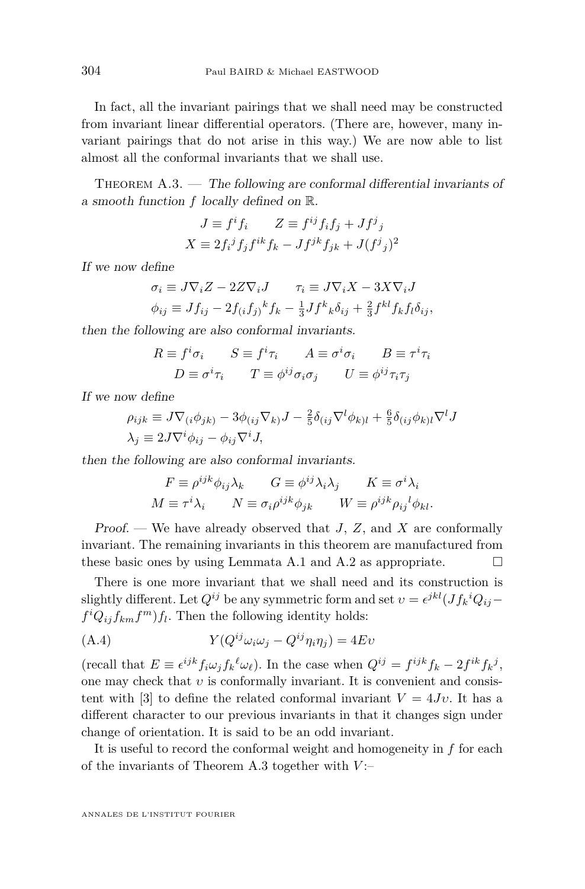<span id="page-28-0"></span>In fact, all the invariant pairings that we shall need may be constructed from invariant linear differential operators. (There are, however, many invariant pairings that do not arise in this way.) We are now able to list almost all the conformal invariants that we shall use.

THEOREM  $A.3.$  — The following are conformal differential invariants of a smooth function *f* locally defined on R.

$$
J \equiv f^i f_i \qquad Z \equiv f^{ij} f_i f_j + J f^j j
$$
  

$$
X \equiv 2 f_i^j f_j f^{ik} f_k - J f^{jk} f_{jk} + J (f^j j)^2
$$

If we now define

$$
\sigma_i \equiv J \nabla_i Z - 2Z \nabla_i J \qquad \tau_i \equiv J \nabla_i X - 3X \nabla_i J \n\phi_{ij} \equiv J f_{ij} - 2f_{(i} f_j)^k f_k - \frac{1}{3} J f^k{}_k \delta_{ij} + \frac{2}{3} f^{kl} f_k f_l \delta_{ij},
$$

then the following are also conformal invariants.

$$
R \equiv f^i \sigma_i \qquad S \equiv f^i \tau_i \qquad A \equiv \sigma^i \sigma_i \qquad B \equiv \tau^i \tau_i
$$
  

$$
D \equiv \sigma^i \tau_i \qquad T \equiv \phi^{ij} \sigma_i \sigma_j \qquad U \equiv \phi^{ij} \tau_i \tau_j
$$

If we now define

$$
\rho_{ijk} \equiv J \nabla_{(i} \phi_{jk)} - 3 \phi_{(ij} \nabla_k J - \frac{2}{5} \delta_{(ij} \nabla^l \phi_{k)l} + \frac{6}{5} \delta_{(ij} \phi_{k)l} \nabla^l J
$$
  

$$
\lambda_j \equiv 2 J \nabla^i \phi_{ij} - \phi_{ij} \nabla^i J,
$$

then the following are also conformal invariants.

$$
F \equiv \rho^{ijk} \phi_{ij} \lambda_k \qquad G \equiv \phi^{ij} \lambda_i \lambda_j \qquad K \equiv \sigma^i \lambda_i
$$
  

$$
M \equiv \tau^i \lambda_i \qquad N \equiv \sigma_i \rho^{ijk} \phi_{jk} \qquad W \equiv \rho^{ijk} \rho_{ij}{}^l \phi_{kl}.
$$

Proof. — We have already observed that *J*, *Z*, and *X* are conformally invariant. The remaining invariants in this theorem are manufactured from these basic ones by using Lemmata [A.1](#page-27-0) and [A.2](#page-27-0) as appropriate.  $\Box$ 

There is one more invariant that we shall need and its construction is slightly different. Let  $Q^{ij}$  be any symmetric form and set  $v = \epsilon^{jkl} (Jf_k{}^i Q_{ij}$  $f^i Q_{ij} f_{km} f^m f_l$ . Then the following identity holds:

(A.4) 
$$
Y(Q^{ij}\omega_i\omega_j - Q^{ij}\eta_i\eta_j) = 4Ev
$$

(recall that  $E \equiv \epsilon^{ijk} f_i \omega_j f_k^{\ell} \omega_{\ell}$ ). In the case when  $Q^{ij} = f^{ijk} f_k - 2 f^{ik} f_k^{\ell} j$ , one may check that *υ* is conformally invariant. It is convenient and consis-tent with [\[3\]](#page-37-0) to define the related conformal invariant  $V = 4Jv$ . It has a different character to our previous invariants in that it changes sign under change of orientation. It is said to be an odd invariant.

It is useful to record the conformal weight and homogeneity in *f* for each of the invariants of Theorem A.3 together with *V* :–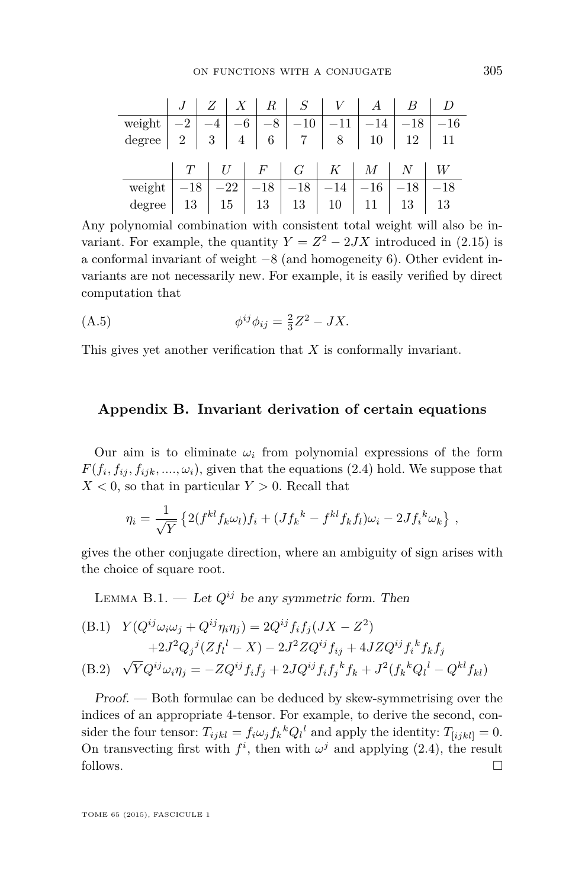<span id="page-29-0"></span>

|                                                                                                                                                                                                      |  |  | $J \mid Z \mid X \mid R \mid S \mid V \mid A \mid B \mid D$ |  |       |
|------------------------------------------------------------------------------------------------------------------------------------------------------------------------------------------------------|--|--|-------------------------------------------------------------|--|-------|
| weight $\begin{array}{ c c c c c c c c } \hline -2 & -4 & -6 & -8 & -10 & -11 & -14 & -18 & -16 \\ \hline degree & 2 & 3 & 4 & 6 & 7 & 8 & 10 & 12 & 11 \\\hline \end{array}$                        |  |  |                                                             |  |       |
|                                                                                                                                                                                                      |  |  |                                                             |  |       |
|                                                                                                                                                                                                      |  |  |                                                             |  |       |
|                                                                                                                                                                                                      |  |  |                                                             |  |       |
|                                                                                                                                                                                                      |  |  |                                                             |  | $-18$ |
| $\begin{tabular}{c c c c c c c c c} \hline weight & $-18$ & $-22$ & $-18$ & $-18$ & $-14$ & $-16$ & $-18$ \\ degree & $13$ & $15$ & $13$ & $13$ & $10$ & $11$ & $13$ & $13$ \\ \hline \end{tabular}$ |  |  |                                                             |  |       |

Any polynomial combination with consistent total weight will also be invariant. For example, the quantity  $Y = Z^2 - 2JX$  introduced in [\(2.15\)](#page-7-0) is a conformal invariant of weight −8 (and homogeneity 6). Other evident invariants are not necessarily new. For example, it is easily verified by direct computation that

(A.5) 
$$
\phi^{ij}\phi_{ij} = \frac{2}{3}Z^2 - JX.
$$

This gives yet another verification that *X* is conformally invariant.

# **Appendix B. Invariant derivation of certain equations**

Our aim is to eliminate  $\omega_i$  from polynomial expressions of the form  $F(f_i, f_{ij}, f_{ijk}, \ldots, \omega_i)$ , given that the equations [\(2.4\)](#page-5-0) hold. We suppose that  $X < 0$ , so that in particular  $Y > 0$ . Recall that

$$
\eta_i = \frac{1}{\sqrt{Y}} \left\{ 2(f^{kl} f_k \omega_l) f_i + (J f_k^k - f^{kl} f_k f_l) \omega_i - 2J f_i^k \omega_k \right\},
$$

gives the other conjugate direction, where an ambiguity of sign arises with the choice of square root.

LEMMA B.1. — Let  $Q^{ij}$  be any symmetric form. Then

(B.1) 
$$
Y(Q^{ij}\omega_i\omega_j + Q^{ij}\eta_i\eta_j) = 2Q^{ij}f_if_j(JX - Z^2) + 2J^2Q_j{}^j(Zf_l^l - X) - 2J^2ZQ^{ij}f_{ij} + 4JZQ^{ij}f_i{}^kf_kf_j (B.2) \quad \sqrt{Y}Q^{ij}\omega_i\eta_j = -ZQ^{ij}f_if_j + 2JQ^{ij}f_if_j{}^kf_k + J^2(f_k{}^kQ_l^l - Q^{kl}f_{kl})
$$

Proof. — Both formulae can be deduced by skew-symmetrising over the indices of an appropriate 4-tensor. For example, to derive the second, consider the four tensor:  $T_{ijkl} = f_i \omega_j f_k^k Q_l^l$  and apply the identity:  $T_{[ijkl]} = 0$ . On transvecting first with  $f^i$ , then with  $\omega^j$  and applying [\(2.4\)](#page-5-0), the result follows.  $\Box$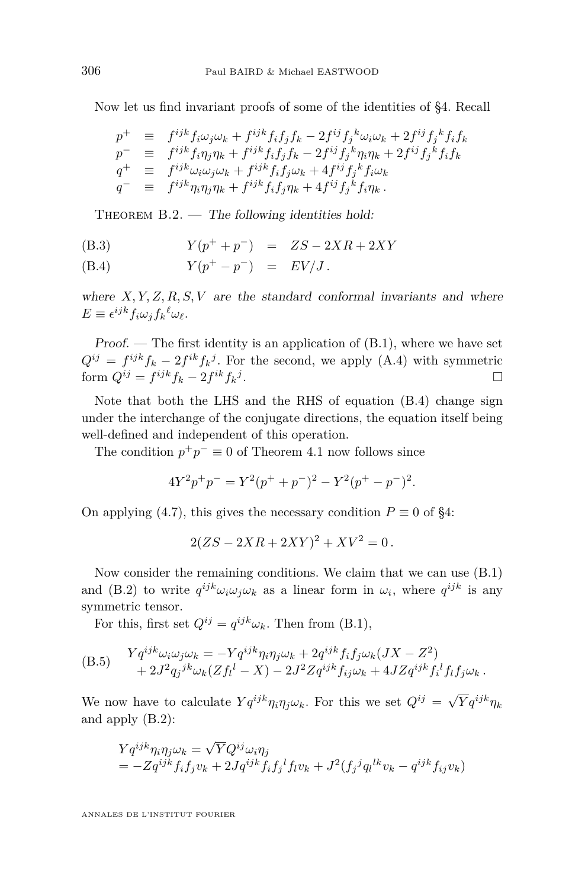<span id="page-30-0"></span>Now let us find invariant proofs of some of the identities of [§4.](#page-9-0) Recall

$$
\begin{array}{rcl}\np^{+} & \equiv & f^{ijk} f_{i} \omega_{j} \omega_{k} + f^{ijk} f_{i} f_{j} f_{k} - 2 f^{ij} f_{j}^{k} \omega_{i} \omega_{k} + 2 f^{ij} f_{j}^{k} f_{i} f_{k} \\
p^{-} & \equiv & f^{ijk} f_{i} \eta_{j} \eta_{k} + f^{ijk} f_{i} f_{j} f_{k} - 2 f^{ij} f_{j}^{k} \eta_{i} \eta_{k} + 2 f^{ij} f_{j}^{k} f_{i} f_{k} \\
q^{+} & \equiv & f^{ijk} \omega_{i} \omega_{j} \omega_{k} + f^{ijk} f_{i} f_{j} \omega_{k} + 4 f^{ij} f_{j}^{k} f_{i} \omega_{k} \\
q^{-} & \equiv & f^{ijk} \eta_{i} \eta_{j} \eta_{k} + f^{ijk} f_{i} f_{j} \eta_{k} + 4 f^{ij} f_{j}^{k} f_{i} \eta_{k}.\n\end{array}
$$

THEOREM  $B.2.$  — The following identities hold:

(B.3) 
$$
Y(p^{+} + p^{-}) = ZS - 2XR + 2XY
$$

(B.4) 
$$
Y(p^+ - p^-) = EV/J
$$
.

where  $X, Y, Z, R, S, V$  are the standard conformal invariants and where  $E \equiv \epsilon^{ijk} f_i \omega_j f_k^{\ell} \omega_{\ell}.$ 

Proof. — The first identity is an application of  $(B.1)$ , where we have set  $Q^{ij} = f^{ijk}f_k - 2f^{ik}f_k^j$ . For the second, we apply [\(A.4\)](#page-28-0) with symmetric form  $Q^{ij} = f^{ijk}f_k - 2f^{ik}f_k^j$ .

Note that both the LHS and the RHS of equation (B.4) change sign under the interchange of the conjugate directions, the equation itself being well-defined and independent of this operation.

The condition  $p^+p^- \equiv 0$  of Theorem [4.1](#page-10-0) now follows since

$$
4Y^{2}p^{+}p^{-} = Y^{2}(p^{+} + p^{-})^{2} - Y^{2}(p^{+} - p^{-})^{2}.
$$

On applying [\(4.7\)](#page-12-0), this gives the necessary condition  $P \equiv 0$  of [§4:](#page-9-0)

$$
2(ZS - 2XR + 2XY)^2 + XV^2 = 0.
$$

Now consider the remaining conditions. We claim that we can use [\(B.1\)](#page-29-0) and [\(B.2\)](#page-29-0) to write  $q^{ijk}\omega_i\omega_j\omega_k$  as a linear form in  $\omega_i$ , where  $q^{ijk}$  is any symmetric tensor.

For this, first set  $Q^{ij} = q^{ijk}\omega_k$ . Then from [\(B.1\)](#page-29-0),

$$
\begin{aligned} \text{(B.5)} \quad & Yq^{ijk}\omega_i\omega_j\omega_k = -Yq^{ijk}\eta_i\eta_j\omega_k + 2q^{ijk}f_if_j\omega_k(JX - Z^2) \\ &+ 2J^2q_j^{jk}\omega_k(Zf_l^l - X) - 2J^2Zq^{ijk}f_{ij}\omega_k + 4JZq^{ijk}f_i^l f_l f_j\omega_k \,. \end{aligned}
$$

We now have to calculate  $Yq^{ijk}\eta_i\eta_j\omega_k$ . For this we set  $Q^{ij} = \sqrt{Y}q^{ijk}\eta_k$ and apply [\(B.2\)](#page-29-0):

$$
Yq^{ijk}\eta_i\eta_j\omega_k = \sqrt{Y}Q^{ij}\omega_i\eta_j
$$
  
= 
$$
-Zq^{ijk}f_if_jv_k + 2Jq^{ijk}f_if_j{}^l f_lv_k + J^2(f_j{}^jq_l{}^{lk}v_k - q^{ijk}f_{ij}v_k)
$$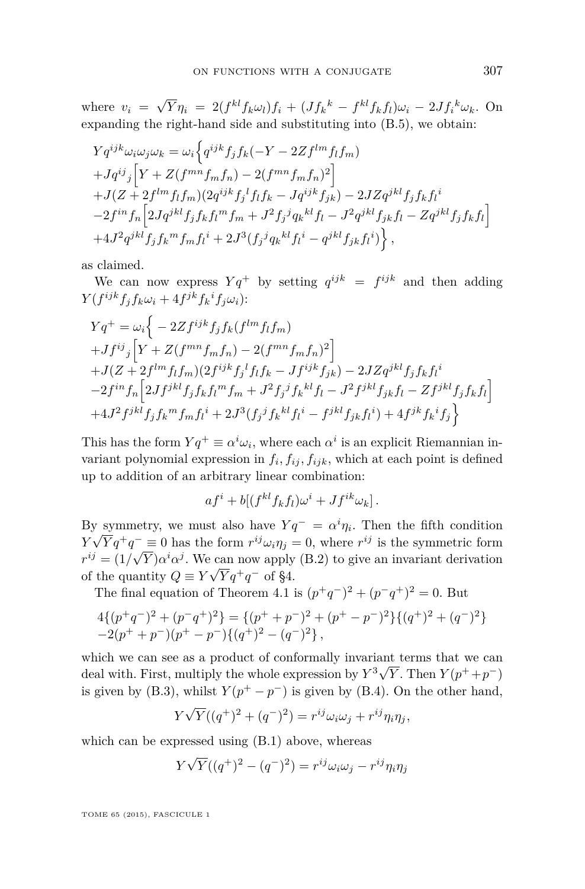where  $v_i =$ √  $\overline{Y}\eta_i = 2(f^{kl}f_k\omega_l)f_i + (Jf_k{}^k - f^{kl}f_kf_l)\omega_i - 2Jf_i{}^k\omega_k.$  On expanding the right-hand side and substituting into [\(B.5\)](#page-30-0), we obtain:

$$
Yq^{ijk}\omega_{i}\omega_{j}\omega_{k} = \omega_{i}\Big\{q^{ijk}f_{j}f_{k}(-Y - 2Zf^{lm}f_{l}f_{m})
$$
  
+ $Jq^{ij}{}_{j}\Big[Y + Z(f^{mn}f_{m}f_{n}) - 2(f^{mn}f_{m}f_{n})^{2}\Big]$   
+ $J(Z + 2f^{lm}f_{l}f_{m})(2q^{ijk}f_{j}^{l}f_{l}f_{k} - Jq^{ijk}f_{jk}) - 2JZq^{jkl}f_{j}f_{k}f_{l}^{i}$   
- $2f^{in}f_{n}\Big[2Jq^{jkl}f_{j}f_{k}f_{l}^{m}f_{m} + J^{2}f_{j}^{j}q_{k}^{kl}f_{l} - J^{2}q^{jkl}f_{jk}f_{l} - Zq^{jkl}f_{j}f_{k}f_{l}\Big]$   
+ $4J^{2}q^{jkl}f_{j}f_{k}^{m}f_{m}f_{l}^{i} + 2J^{3}(f_{j}^{j}q_{k}^{kl}f_{l}^{i} - q^{jkl}f_{jk}f_{l}^{i})\Big\},$ 

as claimed.

We can now express  $Yq^+$  by setting  $q^{ijk} = f^{ijk}$  and then adding  $Y(f^{ijk}f_jf_k\omega_i+4f^{jk}f_k{}^if_j\omega_i)$ :

$$
\begin{split} & Yq^+ = \omega_i \Big\{ -2Z f^{ijk} f_j f_k (f^{lm} f_l f_m) \\ & + J f^{ij}{}_j \Big[ Y + Z (f^{mn} f_m f_n) - 2 (f^{mn} f_m f_n)^2 \Big] \\ & + J (Z + 2 f^{lm} f_l f_m) (2 f^{ijk} f_j^l f_l f_k - J f^{ijk} f_{jk}) - 2J Z q^{jkl} f_j f_k f_l^i \\ & - 2 f^{in} f_n \Big[ 2 J f^{jkl} f_j f_k f_l^m f_m + J^2 f_j^j f_k^{kl} f_l - J^2 f^{jkl} f_{jk} f_l - Z f^{jkl} f_j f_k f_l \Big] \\ & + 4 J^2 f^{jkl} f_j f_k^m f_m f_l^i + 2 J^3 (f_j^j f_k^{kl} f_l^i - f^{jkl} f_{jk} f_l^i) + 4 f^{jk} f_k^i f_j \Big\} \end{split}
$$

This has the form  $Yq^+ \equiv \alpha^i \omega_i$ , where each  $\alpha^i$  is an explicit Riemannian invariant polynomial expression in  $f_i, f_{ij}, f_{ijk}$ , which at each point is defined up to addition of an arbitrary linear combination:

$$
afi + b[(fklfkfl)\omegai + Jfik\omegak].
$$

By symmetry, we must also have  $Yq^- = \alpha^i \eta_i$ . Then the fifth condition  $Y\sqrt{Y}q^+q^- \equiv 0$  has the form  $r^{ij}\omega_i\eta_j = 0$ , where  $r^{ij}$  is the symmetric form  $r^{ij} = (1/\sqrt{Y})\alpha^i \alpha^j$ . We can now apply [\(B.2\)](#page-29-0) to give an invariant derivation of the quantity  $Q \equiv Y\sqrt{Y}q^+q^-$  of [§4.](#page-9-0)

The final equation of Theorem [4.1](#page-10-0) is  $(p^+q^-)^2 + (p^-q^+)^2 = 0$ . But

$$
\begin{array}{l} 4\{(p^+q^-)^2+(p^-q^+)^2\}=\{(p^++p^-)^2+(p^+-p^-)^2\}\{(q^+)^2+(q^-)^2\}\\ -2(p^++p^-)(p^+-p^-)\{(q^+)^2-(q^-)^2\}\,, \end{array}
$$

which we can see as a product of conformally invariant terms that we can deal with. First, multiply the whole expression by  $Y^3 \sqrt{Y}$ . Then  $Y(p^+ + p^-)$ is given by [\(B.3\)](#page-30-0), whilst  $Y(p^+ - p^-)$  is given by [\(B.4\)](#page-30-0). On the other hand,

$$
Y\sqrt{Y}((q^+)^2 + (q^-)^2) = r^{ij}\omega_i\omega_j + r^{ij}\eta_i\eta_j,
$$

which can be expressed using [\(B.1\)](#page-29-0) above, whereas

$$
Y\sqrt{Y}((q^+)^2 - (q^-)^2) = r^{ij}\omega_i\omega_j - r^{ij}\eta_i\eta_j
$$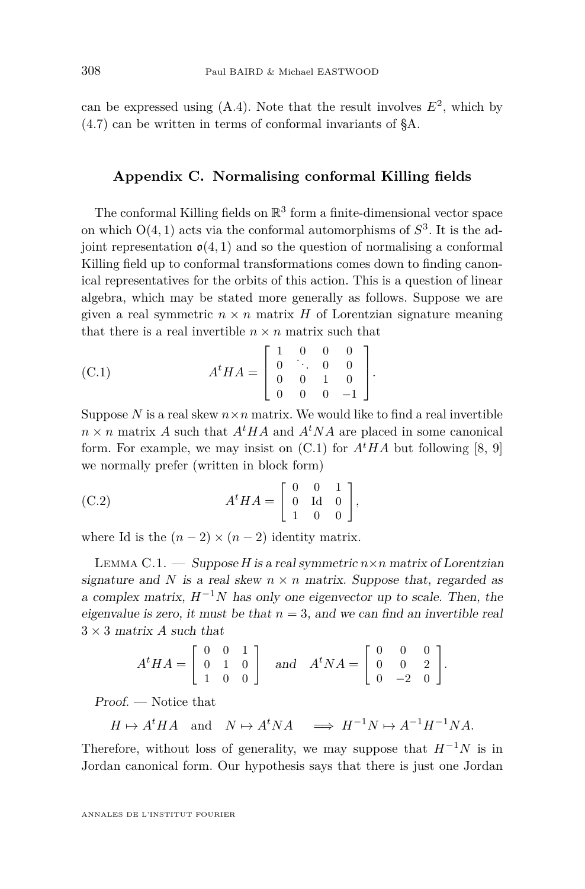<span id="page-32-0"></span>can be expressed using  $(A.4)$ . Note that the result involves  $E^2$ , which by [\(4.7\)](#page-12-0) can be written in terms of conformal invariants of [§A.](#page-24-0)

# **Appendix C. Normalising conformal Killing fields**

The conformal Killing fields on  $\mathbb{R}^3$  form a finite-dimensional vector space on which O(4*,* 1) acts via the conformal automorphisms of *S* 3 . It is the adjoint representation  $\mathfrak{o}(4,1)$  and so the question of normalising a conformal Killing field up to conformal transformations comes down to finding canonical representatives for the orbits of this action. This is a question of linear algebra, which may be stated more generally as follows. Suppose we are given a real symmetric  $n \times n$  matrix *H* of Lorentzian signature meaning that there is a real invertible  $n \times n$  matrix such that

(C.1) 
$$
A^t H A = \begin{bmatrix} 1 & 0 & 0 & 0 \\ 0 & \ddots & 0 & 0 \\ 0 & 0 & 1 & 0 \\ 0 & 0 & 0 & -1 \end{bmatrix}.
$$

Suppose  $N$  is a real skew  $n \times n$  matrix. We would like to find a real invertible  $n \times n$  matrix *A* such that  $A<sup>t</sup>HA$  and  $A<sup>t</sup>NA$  are placed in some canonical form. For example, we may insist on  $(C.1)$  for  $A<sup>t</sup>HA$  but following [\[8,](#page-38-0) [9\]](#page-38-0) we normally prefer (written in block form)

(C.2) 
$$
A^t H A = \begin{bmatrix} 0 & 0 & 1 \\ 0 & \text{Id} & 0 \\ 1 & 0 & 0 \end{bmatrix},
$$

where Id is the  $(n-2) \times (n-2)$  identity matrix.

LEMMA C.1.  $\qquad \qquad$  Suppose *H* is a real symmetric  $n \times n$  matrix of Lorentzian signature and N is a real skew  $n \times n$  matrix. Suppose that, regarded as a complex matrix, *H*<sup>−</sup><sup>1</sup>*N* has only one eigenvector up to scale. Then, the eigenvalue is zero, it must be that  $n = 3$ , and we can find an invertible real  $3 \times 3$  matrix *A* such that

$$
A^t H A = \begin{bmatrix} 0 & 0 & 1 \\ 0 & 1 & 0 \\ 1 & 0 & 0 \end{bmatrix} \text{ and } A^t N A = \begin{bmatrix} 0 & 0 & 0 \\ 0 & 0 & 2 \\ 0 & -2 & 0 \end{bmatrix}.
$$

Proof. — Notice that

$$
H \mapsto A^t H A
$$
 and  $N \mapsto A^t N A$   $\implies H^{-1} N \mapsto A^{-1} H^{-1} N A$ .

Therefore, without loss of generality, we may suppose that  $H^{-1}N$  is in Jordan canonical form. Our hypothesis says that there is just one Jordan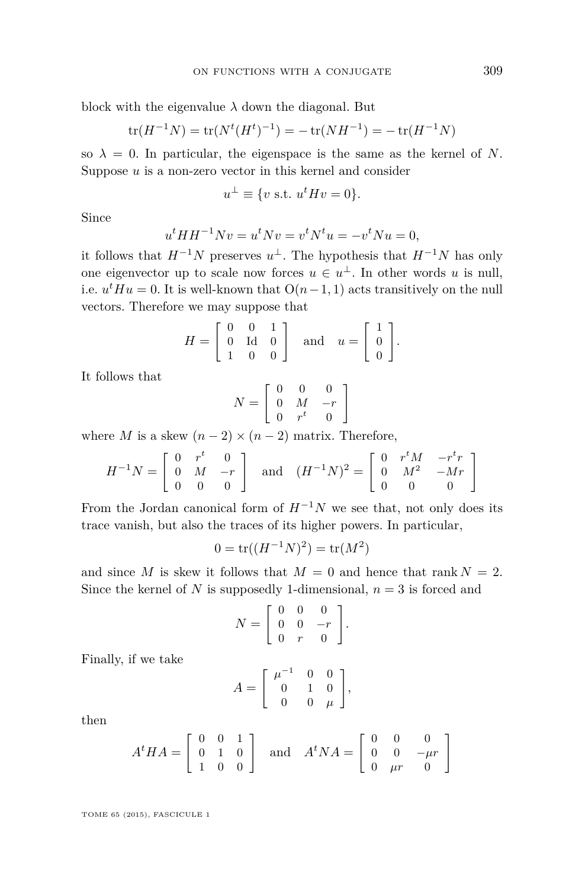block with the eigenvalue  $\lambda$  down the diagonal. But

$$
\text{tr}(H^{-1}N) = \text{tr}(N^{t}(H^{t})^{-1}) = -\text{tr}(NH^{-1}) = -\text{tr}(H^{-1}N)
$$

so  $\lambda = 0$ . In particular, the eigenspace is the same as the kernel of *N*. Suppose *u* is a non-zero vector in this kernel and consider

$$
u^{\perp} \equiv \{v \text{ s.t. } u^t H v = 0\}.
$$

Since

$$
u^t H H^{-1} N v = u^t N v = v^t N^t u = -v^t N u = 0,
$$

it follows that  $H^{-1}N$  preserves  $u^{\perp}$ . The hypothesis that  $H^{-1}N$  has only one eigenvector up to scale now forces  $u \in u^{\perp}$ . In other words *u* is null, i.e.  $u^t H u = 0$ . It is well-known that  $O(n-1, 1)$  acts transitively on the null vectors. Therefore we may suppose that

$$
H = \left[ \begin{array}{ccc} 0 & 0 & 1 \\ 0 & \text{Id} & 0 \\ 1 & 0 & 0 \end{array} \right] \text{ and } u = \left[ \begin{array}{c} 1 \\ 0 \\ 0 \end{array} \right].
$$

It follows that

$$
N = \left[ \begin{array}{ccc} 0 & 0 & 0 \\ 0 & M & -r \\ 0 & r^t & 0 \end{array} \right]
$$

where *M* is a skew  $(n-2) \times (n-2)$  matrix. Therefore,

$$
H^{-1}N = \begin{bmatrix} 0 & r^t & 0 \\ 0 & M & -r \\ 0 & 0 & 0 \end{bmatrix} \text{ and } (H^{-1}N)^2 = \begin{bmatrix} 0 & r^tM & -r^tr \\ 0 & M^2 & -Mr \\ 0 & 0 & 0 \end{bmatrix}
$$

From the Jordan canonical form of  $H^{-1}N$  we see that, not only does its trace vanish, but also the traces of its higher powers. In particular,

$$
0 = \text{tr}((H^{-1}N)^2) = \text{tr}(M^2)
$$

and since *M* is skew it follows that  $M = 0$  and hence that rank  $N = 2$ . Since the kernel of *N* is supposedly 1-dimensional,  $n = 3$  is forced and

$$
N = \left[ \begin{array}{ccc} 0 & 0 & 0 \\ 0 & 0 & -r \\ 0 & r & 0 \end{array} \right].
$$

Finally, if we take

$$
A = \left[ \begin{array}{ccc} \mu^{-1} & 0 & 0 \\ 0 & 1 & 0 \\ 0 & 0 & \mu \end{array} \right],
$$

then

$$
AtHA = \begin{bmatrix} 0 & 0 & 1 \\ 0 & 1 & 0 \\ 1 & 0 & 0 \end{bmatrix} \text{ and } AtNA = \begin{bmatrix} 0 & 0 & 0 \\ 0 & 0 & -\mu r \\ 0 & \mu r & 0 \end{bmatrix}
$$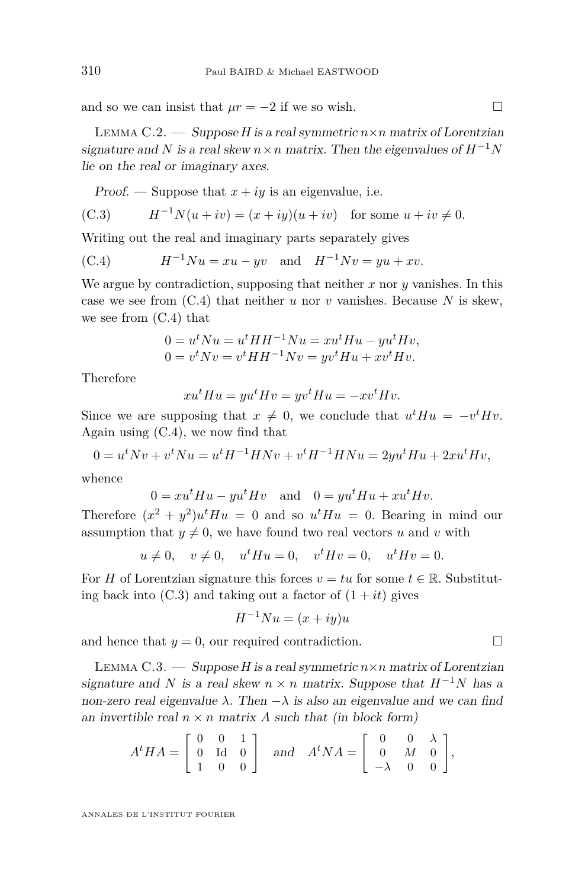<span id="page-34-0"></span>and so we can insist that  $\mu r = -2$  if we so wish.

LEMMA C.2. — Suppose *H* is a real symmetric  $n \times n$  matrix of Lorentzian signature and *N* is a real skew  $n \times n$  matrix. Then the eigenvalues of  $H^{-1}N$ lie on the real or imaginary axes.

Proof. — Suppose that  $x + iy$  is an eigenvalue, i.e.

(C.3) 
$$
H^{-1}N(u + iv) = (x + iy)(u + iv) \text{ for some } u + iv \neq 0.
$$

Writing out the real and imaginary parts separately gives

(C.4) 
$$
H^{-1}Nu = xu - yv
$$
 and  $H^{-1}Nv = yu + xv$ .

We argue by contradiction, supposing that neither *x* nor *y* vanishes. In this case we see from (C.4) that neither *u* nor *v* vanishes. Because *N* is skew, we see from (C.4) that

$$
0 = utNu = utHH-1Nu = xutHu - yutHv,
$$
  

$$
0 = vtNv = vtHH-1Nv = yvtHu + xvtHv.
$$

Therefore

$$
xu^tHu = yu^tHv = yv^tHu = -xv^tHv.
$$

Since we are supposing that  $x \neq 0$ , we conclude that  $u^t H u = -v^t H v$ . Again using (C.4), we now find that

$$
0 = u^t N v + v^t N u = u^t H^{-1} H N v + v^t H^{-1} H N u = 2 y u^t H u + 2 x u^t H v,
$$

whence

$$
0 = xu^t Hu - yu^tHv \text{ and } 0 = yu^tHu + xu^tHv.
$$

Therefore  $(x^2 + y^2)u^tHu = 0$  and so  $u^tHu = 0$ . Bearing in mind our assumption that  $y \neq 0$ , we have found two real vectors *u* and *v* with

$$
u \neq 0
$$
,  $v \neq 0$ ,  $u^t H u = 0$ ,  $v^t H v = 0$ ,  $u^t H v = 0$ .

For *H* of Lorentzian signature this forces  $v = tu$  for some  $t \in \mathbb{R}$ . Substituting back into  $(C.3)$  and taking out a factor of  $(1 + it)$  gives

$$
H^{-1}Nu = (x+iy)u
$$

and hence that  $y = 0$ , our required contradiction.

LEMMA C.3. — Suppose *H* is a real symmetric  $n \times n$  matrix of Lorentzian signature and *N* is a real skew  $n \times n$  matrix. Suppose that  $H^{-1}N$  has a non-zero real eigenvalue  $\lambda$ . Then  $-\lambda$  is also an eigenvalue and we can find an invertible real  $n \times n$  matrix *A* such that (in block form)

$$
A^t H A = \begin{bmatrix} 0 & 0 & 1 \\ 0 & \text{Id} & 0 \\ 1 & 0 & 0 \end{bmatrix} \text{ and } A^t N A = \begin{bmatrix} 0 & 0 & \lambda \\ 0 & M & 0 \\ -\lambda & 0 & 0 \end{bmatrix},
$$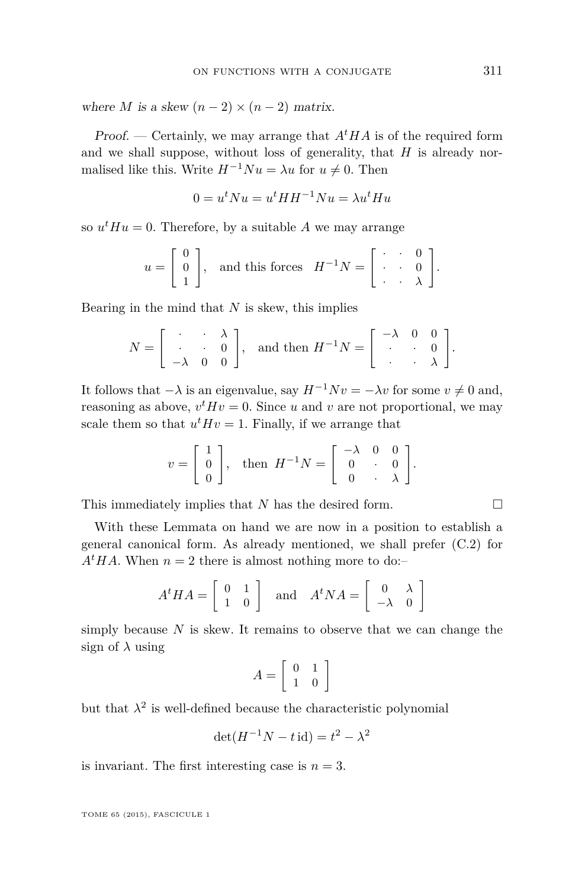where *M* is a skew  $(n-2) \times (n-2)$  matrix.

Proof. — Certainly, we may arrange that  $A<sup>t</sup>HA$  is of the required form and we shall suppose, without loss of generality, that  $H$  is already normalised like this. Write  $H^{-1}Nu = \lambda u$  for  $u \neq 0$ . Then

$$
0 = u^t N u = u^t H H^{-1} N u = \lambda u^t H u
$$

so  $u^t H u = 0$ . Therefore, by a suitable *A* we may arrange

$$
u = \begin{bmatrix} 0 \\ 0 \\ 1 \end{bmatrix}, \text{ and this forces } H^{-1}N = \begin{bmatrix} \cdot & \cdot & 0 \\ \cdot & \cdot & 0 \\ \cdot & \cdot & \lambda \end{bmatrix}.
$$

Bearing in the mind that *N* is skew, this implies

$$
N = \left[ \begin{array}{ccc} \cdot & \cdot & \lambda \\ \cdot & \cdot & 0 \\ -\lambda & 0 & 0 \end{array} \right], \text{ and then } H^{-1}N = \left[ \begin{array}{ccc} -\lambda & 0 & 0 \\ \cdot & \cdot & 0 \\ \cdot & \cdot & \lambda \end{array} \right].
$$

It follows that  $-\lambda$  is an eigenvalue, say  $H^{-1}Nv = -\lambda v$  for some  $v \neq 0$  and, reasoning as above,  $v^t H v = 0$ . Since *u* and *v* are not proportional, we may scale them so that  $u^t H v = 1$ . Finally, if we arrange that

$$
v = \begin{bmatrix} 1 \\ 0 \\ 0 \end{bmatrix}, \quad \text{then} \quad H^{-1}N = \begin{bmatrix} -\lambda & 0 & 0 \\ 0 & \cdot & 0 \\ 0 & \cdot & \lambda \end{bmatrix}.
$$

This immediately implies that *N* has the desired form.

With these Lemmata on hand we are now in a position to establish a general canonical form. As already mentioned, we shall prefer [\(C.2\)](#page-32-0) for  $A<sup>t</sup>HA$ . When  $n = 2$  there is almost nothing more to do:–

$$
A^t H A = \left[ \begin{array}{cc} 0 & 1 \\ 1 & 0 \end{array} \right] \quad \text{and} \quad A^t N A = \left[ \begin{array}{cc} 0 & \lambda \\ -\lambda & 0 \end{array} \right]
$$

simply because *N* is skew. It remains to observe that we can change the sign of  $\lambda$  using

$$
A = \left[ \begin{array}{cc} 0 & 1 \\ 1 & 0 \end{array} \right]
$$

but that  $\lambda^2$  is well-defined because the characteristic polynomial

$$
\det(H^{-1}N - t \operatorname{id}) = t^2 - \lambda^2
$$

is invariant. The first interesting case is  $n = 3$ .

$$
\Box
$$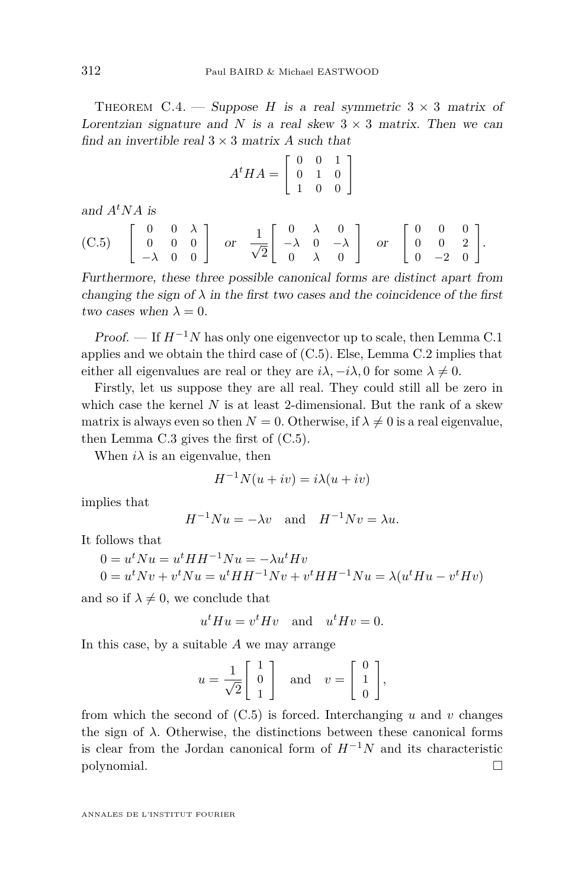THEOREM C.4. — Suppose *H* is a real symmetric  $3 \times 3$  matrix of Lorentzian signature and *N* is a real skew  $3 \times 3$  matrix. Then we can find an invertible real  $3 \times 3$  matrix *A* such that

$$
A^t H A = \left[ \begin{array}{ccc} 0 & 0 & 1 \\ 0 & 1 & 0 \\ 1 & 0 & 0 \end{array} \right]
$$

and  $A^tNA$  is

(C.5) 
$$
\begin{bmatrix} 0 & 0 & \lambda \\ 0 & 0 & 0 \\ -\lambda & 0 & 0 \end{bmatrix}
$$
 or  $\frac{1}{\sqrt{2}} \begin{bmatrix} 0 & \lambda & 0 \\ -\lambda & 0 & -\lambda \\ 0 & \lambda & 0 \end{bmatrix}$  or  $\begin{bmatrix} 0 & 0 & 0 \\ 0 & 0 & 2 \\ 0 & -2 & 0 \end{bmatrix}$ .

Furthermore, these three possible canonical forms are distinct apart from changing the sign of  $\lambda$  in the first two cases and the coincidence of the first two cases when  $\lambda = 0$ .

Proof. — If *H*<sup>−</sup>1*N* has only one eigenvector up to scale, then Lemma [C.1](#page-32-0) applies and we obtain the third case of (C.5). Else, Lemma [C.2](#page-34-0) implies that either all eigenvalues are real or they are  $i\lambda$ ,  $-i\lambda$ , 0 for some  $\lambda \neq 0$ .

Firstly, let us suppose they are all real. They could still all be zero in which case the kernel *N* is at least 2-dimensional. But the rank of a skew matrix is always even so then  $N = 0$ . Otherwise, if  $\lambda \neq 0$  is a real eigenvalue, then Lemma [C.3](#page-34-0) gives the first of (C.5).

When  $i\lambda$  is an eigenvalue, then

$$
H^{-1}N(u+iv) = i\lambda(u+iv)
$$

implies that

$$
H^{-1}Nu = -\lambda v \quad \text{and} \quad H^{-1}Nv = \lambda u.
$$

It follows that

$$
0 = utNu = utHH-1Nu = -\lambda utHv
$$
  

$$
0 = utNv + vtNu = utHH-1Nv + vtHH-1Nu = \lambda(utHu - vtHv)
$$

and so if  $\lambda \neq 0$ , we conclude that

$$
u^t H u = v^t H v \quad \text{and} \quad u^t H v = 0.
$$

In this case, by a suitable *A* we may arrange

$$
u = \frac{1}{\sqrt{2}} \begin{bmatrix} 1 \\ 0 \\ 1 \end{bmatrix} \quad \text{and} \quad v = \begin{bmatrix} 0 \\ 1 \\ 0 \end{bmatrix},
$$

from which the second of  $(C.5)$  is forced. Interchanging  $u$  and  $v$  changes the sign of  $\lambda$ . Otherwise, the distinctions between these canonical forms is clear from the Jordan canonical form of  $H^{-1}N$  and its characteristic polynomial.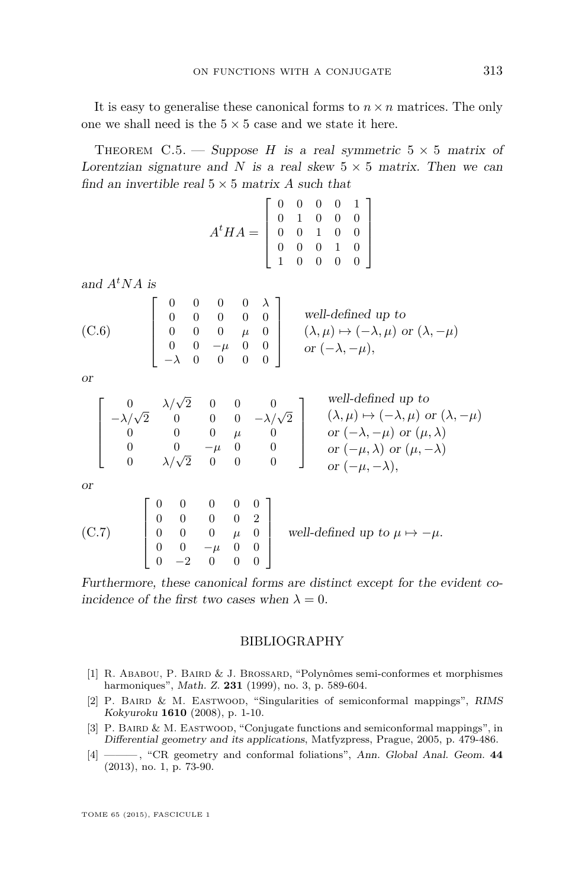<span id="page-37-0"></span>It is easy to generalise these canonical forms to  $n \times n$  matrices. The only one we shall need is the  $5 \times 5$  case and we state it here.

THEOREM C.5. — Suppose *H* is a real symmetric  $5 \times 5$  matrix of Lorentzian signature and *N* is a real skew  $5 \times 5$  matrix. Then we can find an invertible real  $5 \times 5$  matrix *A* such that

| $A^t H A = \left[ \begin{array}{cccc} 0 & 0 & 0 & 0 & 1 \\ 0 & 1 & 0 & 0 & 0 \\ 0 & 0 & 1 & 0 & 0 \\ 0 & 0 & 0 & 1 & 0 \\ 1 & 0 & 0 & 0 & 0 \end{array} \right]$ |  |  |  |
|------------------------------------------------------------------------------------------------------------------------------------------------------------------|--|--|--|
|                                                                                                                                                                  |  |  |  |

and  $A^tNA$  is

(C.6) 
$$
\begin{bmatrix} 0 & 0 & 0 & 0 & \lambda \\ 0 & 0 & 0 & 0 & 0 \\ 0 & 0 & 0 & \mu & 0 \\ 0 & 0 & -\mu & 0 & 0 \\ -\lambda & 0 & 0 & 0 & 0 \end{bmatrix}
$$
 well-defined up to  $(\lambda, \mu) \mapsto (-\lambda, \mu)$  or  $(\lambda, \mu)$ 

or

$$
\left[ \begin{array}{cccc} 0 & \lambda/\sqrt{2} & 0 & 0 & 0 \\ -\lambda/\sqrt{2} & 0 & 0 & 0 & -\lambda/\sqrt{2} \\ 0 & 0 & 0 & \mu & 0 \\ 0 & 0 & -\mu & 0 & 0 \\ 0 & \lambda/\sqrt{2} & 0 & 0 & 0 \end{array} \right] \quad \begin{array}{l} {\rm well-defined \ up \ to} \\ (\lambda,\mu) \mapsto (-\lambda,\mu) \ {\rm or} \ (\lambda,-\mu) \\ {\rm or} \ (-\lambda,-\mu) \ {\rm or} \ (\mu,\lambda) \\ {\rm or} \ (-\mu,\lambda) \ {\rm or} \ (\mu,-\lambda) \\ {\rm or} \ (-\mu,\lambda), \end{array}
$$

or

(C.7) 
$$
\begin{bmatrix} 0 & 0 & 0 & 0 & 0 \ 0 & 0 & 0 & 0 & 2 \ 0 & 0 & 0 & \mu & 0 \ 0 & 0 & -\mu & 0 & 0 \ 0 & -2 & 0 & 0 & 0 \end{bmatrix}
$$
 well-defined up to  $\mu \mapsto -\mu$ .

Furthermore, these canonical forms are distinct except for the evident coincidence of the first two cases when  $\lambda = 0$ .

# BIBLIOGRAPHY

- [1] R. Ababou, P. Baird & J. Brossard, "Polynômes semi-conformes et morphismes harmoniques", Math. Z. **231** (1999), no. 3, p. 589-604.
- [2] P. BAIRD & M. EASTWOOD, "Singularities of semiconformal mappings", RIMS Kokyuroku **1610** (2008), p. 1-10.
- [3] P. BAIRD & M. EASTWOOD, "Conjugate functions and semiconformal mappings", in Differential geometry and its applications, Matfyzpress, Prague, 2005, p. 479-486.
- [4] ——— , "CR geometry and conformal foliations", Ann. Global Anal. Geom. **44** (2013), no. 1, p. 73-90.

 $-\mu$ )